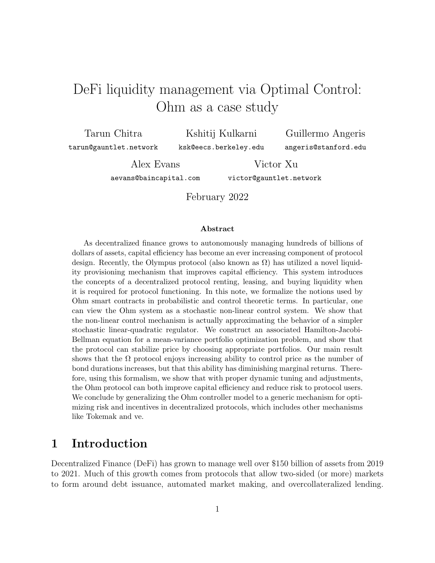# <span id="page-0-0"></span>DeFi liquidity management via Optimal Control: Ohm as a case study

Tarun Chitra

Kshitij Kulkarni

tarun@gauntlet.network

ksk@eecs.berkeley.edu

Guillermo Angeris angeris@stanford.edu

Alex Evans aevans@baincapital.com

Victor Xu victor@gauntlet.network

February 2022

#### Abstract

As decentralized finance grows to autonomously managing hundreds of billions of dollars of assets, capital efficiency has become an ever increasing component of protocol design. Recently, the Olympus protocol (also known as  $\Omega$ ) has utilized a novel liquidity provisioning mechanism that improves capital efficiency. This system introduces the concepts of a decentralized protocol renting, leasing, and buying liquidity when it is required for protocol functioning. In this note, we formalize the notions used by Ohm smart contracts in probabilistic and control theoretic terms. In particular, one can view the Ohm system as a stochastic non-linear control system. We show that the non-linear control mechanism is actually approximating the behavior of a simpler stochastic linear-quadratic regulator. We construct an associated Hamilton-Jacobi-Bellman equation for a mean-variance portfolio optimization problem, and show that the protocol can stabilize price by choosing appropriate portfolios. Our main result shows that the  $\Omega$  protocol enjoys increasing ability to control price as the number of bond durations increases, but that this ability has diminishing marginal returns. Therefore, using this formalism, we show that with proper dynamic tuning and adjustments, the Ohm protocol can both improve capital efficiency and reduce risk to protocol users. We conclude by generalizing the Ohm controller model to a generic mechanism for optimizing risk and incentives in decentralized protocols, which includes other mechanisms like Tokemak and ve.

### 1 Introduction

Decentralized Finance (DeFi) has grown to manage well over \$150 billion of assets from 2019 to 2021. Much of this growth comes from protocols that allow two-sided (or more) markets to form around debt issuance, automated market making, and overcollateralized lending.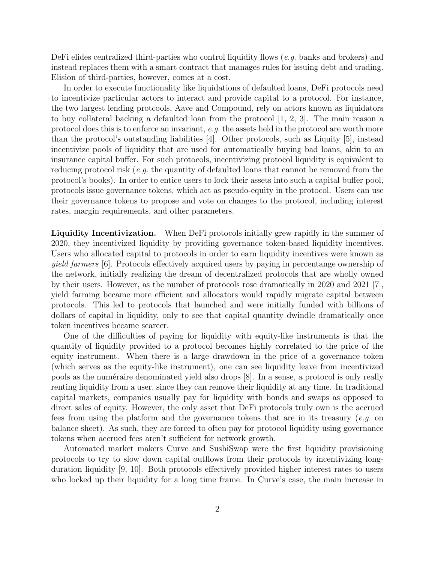DeFi elides centralized third-parties who control liquidity flows (e.g. banks and brokers) and instead replaces them with a smart contract that manages rules for issuing debt and trading. Elision of third-parties, however, comes at a cost.

In order to execute functionality like liquidations of defaulted loans, DeFi protocols need to incentivize particular actors to interact and provide capital to a protocol. For instance, the two largest lending protcools, Aave and Compound, rely on actors known as liquidators to buy collateral backing a defaulted loan from the protocol  $[1, 2, 3]$  $[1, 2, 3]$  $[1, 2, 3]$ . The main reason a protocol does this is to enforce an invariant, e.g. the assets held in the protocol are worth more than the protocol's outstanding liabilities [\[4\]](#page-23-3). Other protocols, such as Liquity [\[5\]](#page-23-4), instead incentivize pools of liquidity that are used for automatically buying bad loans, akin to an insurance capital buffer. For such protocols, incentivizing protocol liquidity is equivalent to reducing protocol risk (e.g. the quantity of defaulted loans that cannot be removed from the protocol's books). In order to entice users to lock their assets into such a capital buffer pool, protocols issue governance tokens, which act as pseudo-equity in the protocol. Users can use their governance tokens to propose and vote on changes to the protocol, including interest rates, margin requirements, and other parameters.

Liquidity Incentivization. When DeFi protocols initially grew rapidly in the summer of 2020, they incentivized liquidity by providing governance token-based liquidity incentives. Users who allocated capital to protocols in order to earn liquidity incentives were known as yield farmers [\[6\]](#page-23-5). Protocols effectively acquired users by paying in percentange ownership of the network, initially realizing the dream of decentralized protocols that are wholly owned by their users. However, as the number of protocols rose dramatically in 2020 and 2021 [\[7\]](#page-23-6), yield farming became more efficient and allocators would rapidly migrate capital between protocols. This led to protocols that launched and were initially funded with billions of dollars of capital in liquidity, only to see that capital quantity dwindle dramatically once token incentives became scarcer.

One of the difficulties of paying for liquidity with equity-like instruments is that the quantity of liquidity provided to a protocol becomes highly correlated to the price of the equity instrument. When there is a large drawdown in the price of a governance token (which serves as the equity-like instrument), one can see liquidity leave from incentivized pools as the numéraire denominated yield also drops  $[8]$ . In a sense, a protocol is only really renting liquidity from a user, since they can remove their liquidity at any time. In traditional capital markets, companies usually pay for liquidity with bonds and swaps as opposed to direct sales of equity. However, the only asset that DeFi protocols truly own is the accrued fees from using the platform and the governance tokens that are in its treasury (e.g. on balance sheet). As such, they are forced to often pay for protocol liquidity using governance tokens when accrued fees aren't sufficient for network growth.

Automated market makers Curve and SushiSwap were the first liquidity provisioning protocols to try to slow down capital outflows from their protocols by incentivizing longduration liquidity [\[9,](#page-24-0) [10\]](#page-24-1). Both protocols effectively provided higher interest rates to users who locked up their liquidity for a long time frame. In Curve's case, the main increase in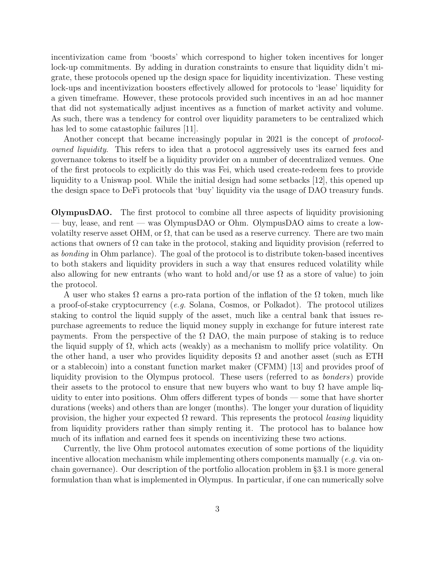incentivization came from 'boosts' which correspond to higher token incentives for longer lock-up commitments. By adding in duration constraints to ensure that liquidity didn't migrate, these protocols opened up the design space for liquidity incentivization. These vesting lock-ups and incentivization boosters effectively allowed for protocols to 'lease' liquidity for a given timeframe. However, these protocols provided such incentives in an ad hoc manner that did not systematically adjust incentives as a function of market activity and volume. As such, there was a tendency for control over liquidity parameters to be centralized which has led to some catastophic failures [\[11\]](#page-24-2).

Another concept that became increasingly popular in 2021 is the concept of *protocol*owned liquidity. This refers to idea that a protocol aggressively uses its earned fees and governance tokens to itself be a liquidity provider on a number of decentralized venues. One of the first protocols to explicitly do this was Fei, which used create-redeem fees to provide liquidity to a Uniswap pool. While the initial design had some setbacks [\[12\]](#page-24-3), this opened up the design space to DeFi protocols that 'buy' liquidity via the usage of DAO treasury funds.

OlympusDAO. The first protocol to combine all three aspects of liquidity provisioning — buy, lease, and rent — was OlympusDAO or Ohm. OlympusDAO aims to create a lowvolatilty reserve asset OHM, or  $\Omega$ , that can be used as a reserve currency. There are two main actions that owners of  $\Omega$  can take in the protocol, staking and liquidity provision (referred to as bonding in Ohm parlance). The goal of the protocol is to distribute token-based incentives to both stakers and liquidity providers in such a way that ensures reduced volatility while also allowing for new entrants (who want to hold and/or use  $\Omega$  as a store of value) to join the protocol.

A user who stakes  $\Omega$  earns a pro-rata portion of the inflation of the  $\Omega$  token, much like a proof-of-stake cryptocurrency (e.g. Solana, Cosmos, or Polkadot). The protocol utilizes staking to control the liquid supply of the asset, much like a central bank that issues repurchase agreements to reduce the liquid money supply in exchange for future interest rate payments. From the perspective of the  $\Omega$  DAO, the main purpose of staking is to reduce the liquid supply of  $\Omega$ , which acts (weakly) as a mechanism to mollify price volatility. On the other hand, a user who provides liquidity deposits  $\Omega$  and another asset (such as ETH or a stablecoin) into a constant function market maker (CFMM) [\[13\]](#page-24-4) and provides proof of liquidity provision to the Olympus protocol. These users (referred to as bonders) provide their assets to the protocol to ensure that new buyers who want to buy  $\Omega$  have ample liquidity to enter into positions. Ohm offers different types of bonds — some that have shorter durations (weeks) and others than are longer (months). The longer your duration of liquidity provision, the higher your expected  $\Omega$  reward. This represents the protocol *leasing* liquidity from liquidity providers rather than simply renting it. The protocol has to balance how much of its inflation and earned fees it spends on incentivizing these two actions.

Currently, the live Ohm protocol automates execution of some portions of the liquidity incentive allocation mechanism while implementing others components manually (*e.g.* via onchain governance). Our description of the portfolio allocation problem in §[3.1](#page-9-0) is more general formulation than what is implemented in Olympus. In particular, if one can numerically solve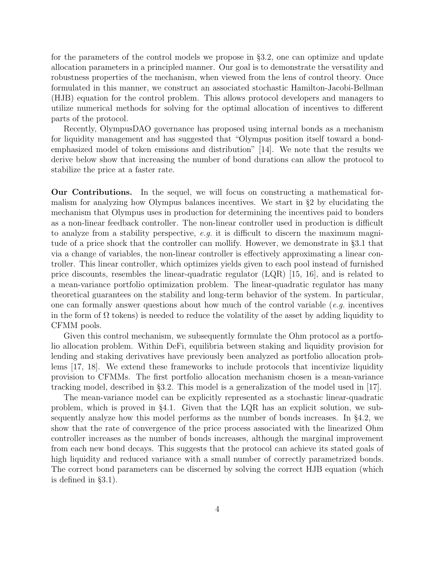for the parameters of the control models we propose in §[3.2,](#page-11-0) one can optimize and update allocation parameters in a principled manner. Our goal is to demonstrate the versatility and robustness properties of the mechanism, when viewed from the lens of control theory. Once formulated in this manner, we construct an associated stochastic Hamilton-Jacobi-Bellman (HJB) equation for the control problem. This allows protocol developers and managers to utilize numerical methods for solving for the optimal allocation of incentives to different parts of the protocol.

Recently, OlympusDAO governance has proposed using internal bonds as a mechanism for liquidity management and has suggested that "Olympus position itself toward a bondemphasized model of token emissions and distribution" [\[14\]](#page-24-5). We note that the results we derive below show that increasing the number of bond durations can allow the protocol to stabilize the price at a faster rate.

Our Contributions. In the sequel, we will focus on constructing a mathematical formalism for analyzing how Olympus balances incentives. We start in §[2](#page-4-0) by elucidating the mechanism that Olympus uses in production for determining the incentives paid to bonders as a non-linear feedback controller. The non-linear controller used in production is difficult to analyze from a stability perspective, e.g. it is difficult to discern the maximum magnitude of a price shock that the controller can mollify. However, we demonstrate in §[3.1](#page-9-0) that via a change of variables, the non-linear controller is effectively approximating a linear controller. This linear controller, which optimizes yields given to each pool instead of furnished price discounts, resembles the linear-quadratic regulator (LQR) [\[15,](#page-24-6) [16\]](#page-24-7), and is related to a mean-variance portfolio optimization problem. The linear-quadratic regulator has many theoretical guarantees on the stability and long-term behavior of the system. In particular, one can formally answer questions about how much of the control variable (e.g. incentives in the form of  $\Omega$  tokens) is needed to reduce the volatility of the asset by adding liquidity to CFMM pools.

Given this control mechanism, we subsequently formulate the Ohm protocol as a portfolio allocation problem. Within DeFi, equilibria between staking and liquidity provision for lending and staking derivatives have previously been analyzed as portfolio allocation problems [\[17,](#page-24-8) [18\]](#page-24-9). We extend these frameworks to include protocols that incentivize liquidity provision to CFMMs. The first portfolio allocation mechanism chosen is a mean-variance tracking model, described in §[3.2.](#page-11-0) This model is a generalization of the model used in [\[17\]](#page-24-8).

The mean-variance model can be explicitly represented as a stochastic linear-quadratic problem, which is proved in §[4.1.](#page-15-0) Given that the LQR has an explicit solution, we subsequently analyze how this model performs as the number of bonds increases. In §[4.2,](#page-17-0) we show that the rate of convergence of the price process associated with the linearized Ohm controller increases as the number of bonds increases, although the marginal improvement from each new bond decays. This suggests that the protocol can achieve its stated goals of high liquidity and reduced variance with a small number of correctly parametrized bonds. The correct bond parameters can be discerned by solving the correct HJB equation (which is defined in §[3.1\)](#page-9-0).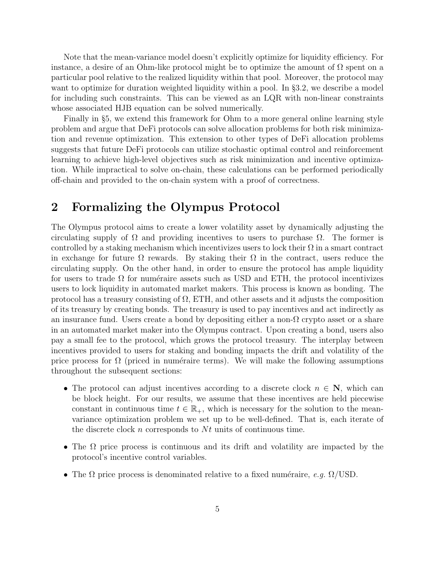Note that the mean-variance model doesn't explicitly optimize for liquidity efficiency. For instance, a desire of an Ohm-like protocol might be to optimize the amount of  $\Omega$  spent on a particular pool relative to the realized liquidity within that pool. Moreover, the protocol may want to optimize for duration weighted liquidity within a pool. In §[3.2,](#page-11-0) we describe a model for including such constraints. This can be viewed as an LQR with non-linear constraints whose associated HJB equation can be solved numerically.

Finally in §[5,](#page-20-0) we extend this framework for Ohm to a more general online learning style problem and argue that DeFi protocols can solve allocation problems for both risk minimization and revenue optimization. This extension to other types of DeFi allocation problems suggests that future DeFi protocols can utilize stochastic optimal control and reinforcement learning to achieve high-level objectives such as risk minimization and incentive optimization. While impractical to solve on-chain, these calculations can be performed periodically off-chain and provided to the on-chain system with a proof of correctness.

### <span id="page-4-0"></span>2 Formalizing the Olympus Protocol

The Olympus protocol aims to create a lower volatility asset by dynamically adjusting the circulating supply of  $\Omega$  and providing incentives to users to purchase  $\Omega$ . The former is controlled by a staking mechanism which incentivizes users to lock their  $\Omega$  in a smart contract in exchange for future  $\Omega$  rewards. By staking their  $\Omega$  in the contract, users reduce the circulating supply. On the other hand, in order to ensure the protocol has ample liquidity for users to trade  $\Omega$  for numéraire assets such as USD and ETH, the protocol incentivizes users to lock liquidity in automated market makers. This process is known as bonding. The protocol has a treasury consisting of  $\Omega$ , ETH, and other assets and it adjusts the composition of its treasury by creating bonds. The treasury is used to pay incentives and act indirectly as an insurance fund. Users create a bond by depositing either a non- $\Omega$  crypto asset or a share in an automated market maker into the Olympus contract. Upon creating a bond, users also pay a small fee to the protocol, which grows the protocol treasury. The interplay between incentives provided to users for staking and bonding impacts the drift and volatility of the price process for  $\Omega$  (priced in numéraire terms). We will make the following assumptions throughout the subsequent sections:

- The protocol can adjust incentives according to a discrete clock  $n \in \mathbb{N}$ , which can be block height. For our results, we assume that these incentives are held piecewise constant in continuous time  $t \in \mathbb{R}_+$ , which is necessary for the solution to the meanvariance optimization problem we set up to be well-defined. That is, each iterate of the discrete clock n corresponds to  $N_t$  units of continuous time.
- The  $\Omega$  price process is continuous and its drift and volatility are impacted by the protocol's incentive control variables.
- The  $\Omega$  price process is denominated relative to a fixed numéraire, e.g.  $\Omega/\text{USD}$ .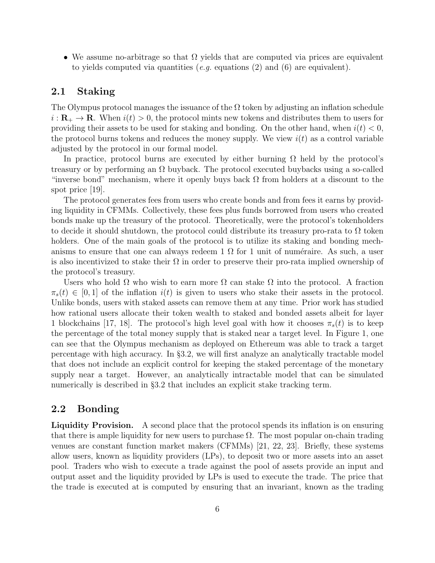• We assume no-arbitrage so that  $\Omega$  yields that are computed via prices are equivalent to yields computed via quantities (e.g. equations  $(2)$  and  $(6)$  are equivalent).

### 2.1 Staking

The Olympus protocol manages the issuance of the  $\Omega$  token by adjusting an inflation schedule  $i: \mathbf{R}_{+} \to \mathbf{R}$ . When  $i(t) > 0$ , the protocol mints new tokens and distributes them to users for providing their assets to be used for staking and bonding. On the other hand, when  $i(t) < 0$ , the protocol burns tokens and reduces the money supply. We view  $i(t)$  as a control variable adjusted by the protocol in our formal model.

In practice, protocol burns are executed by either burning  $\Omega$  held by the protocol's treasury or by performing an  $\Omega$  buyback. The protocol executed buybacks using a so-called "inverse bond" mechanism, where it openly buys back  $\Omega$  from holders at a discount to the spot price [\[19\]](#page-24-10).

The protocol generates fees from users who create bonds and from fees it earns by providing liquidity in CFMMs. Collectively, these fees plus funds borrowed from users who created bonds make up the treasury of the protocol. Theoretically, were the protocol's tokenholders to decide it should shutdown, the protocol could distribute its treasury pro-rata to  $\Omega$  token holders. One of the main goals of the protocol is to utilize its staking and bonding mechanisms to ensure that one can always redeem 1  $\Omega$  for 1 unit of numéraire. As such, a user is also incentivized to stake their  $\Omega$  in order to preserve their pro-rata implied ownership of the protocol's treasury.

Users who hold  $\Omega$  who wish to earn more  $\Omega$  can stake  $\Omega$  into the protocol. A fraction  $\pi_s(t) \in [0,1]$  of the inflation  $i(t)$  is given to users who stake their assets in the protocol. Unlike bonds, users with staked assets can remove them at any time. Prior work has studied how rational users allocate their token wealth to staked and bonded assets albeit for layer 1 blockchains [\[17,](#page-24-8) [18\]](#page-24-9). The protocol's high level goal with how it chooses  $\pi_s(t)$  is to keep the percentage of the total money supply that is staked near a target level. In Figure [1,](#page-6-0) one can see that the Olympus mechanism as deployed on Ethereum was able to track a target percentage with high accuracy. In §[3.2,](#page-11-0) we will first analyze an analytically tractable model that does not include an explicit control for keeping the staked percentage of the monetary supply near a target. However, an analytically intractable model that can be simulated numerically is described in §[3.2](#page-11-0) that includes an explicit stake tracking term.

### 2.2 Bonding

Liquidity Provision. A second place that the protocol spends its inflation is on ensuring that there is ample liquidity for new users to purchase  $\Omega$ . The most popular on-chain trading venues are constant function market makers (CFMMs) [\[21,](#page-24-11) [22,](#page-25-0) [23\]](#page-25-1). Briefly, these systems allow users, known as liquidity providers (LPs), to deposit two or more assets into an asset pool. Traders who wish to execute a trade against the pool of assets provide an input and output asset and the liquidity provided by LPs is used to execute the trade. The price that the trade is executed at is computed by ensuring that an invariant, known as the trading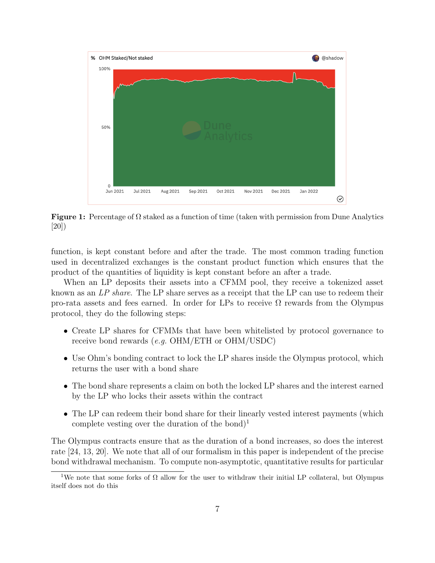<span id="page-6-0"></span>

Figure 1: Percentage of  $\Omega$  staked as a function of time (taken with permission from Dune Analytics [\[20\]](#page-24-12))

function, is kept constant before and after the trade. The most common trading function used in decentralized exchanges is the constant product function which ensures that the product of the quantities of liquidity is kept constant before an after a trade.

When an LP deposits their assets into a CFMM pool, they receive a tokenized asset known as an LP share. The LP share serves as a receipt that the LP can use to redeem their pro-rata assets and fees earned. In order for LPs to receive  $\Omega$  rewards from the Olympus protocol, they do the following steps:

- Create LP shares for CFMMs that have been whitelisted by protocol governance to receive bond rewards (e.g. OHM/ETH or OHM/USDC)
- Use Ohm's bonding contract to lock the LP shares inside the Olympus protocol, which returns the user with a bond share
- The bond share represents a claim on both the locked LP shares and the interest earned by the LP who locks their assets within the contract
- The LP can redeem their bond share for their linearly vested interest payments (which complete vesting over the duration of the bond)<sup>[1](#page-0-0)</sup>

The Olympus contracts ensure that as the duration of a bond increases, so does the interest rate [\[24,](#page-25-2) [13,](#page-24-4) [20\]](#page-24-12). We note that all of our formalism in this paper is independent of the precise bond withdrawal mechanism. To compute non-asymptotic, quantitative results for particular

<sup>&</sup>lt;sup>1</sup>We note that some forks of  $\Omega$  allow for the user to withdraw their initial LP collateral, but Olympus itself does not do this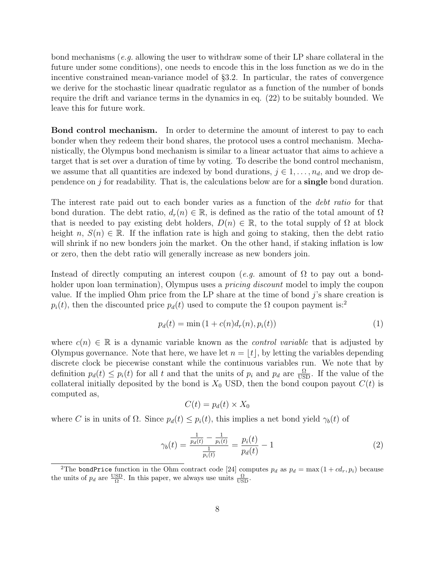bond mechanisms (e.g. allowing the user to withdraw some of their LP share collateral in the future under some conditions), one needs to encode this in the loss function as we do in the incentive constrained mean-variance model of §[3.2.](#page-11-0) In particular, the rates of convergence we derive for the stochastic linear quadratic regulator as a function of the number of bonds require the drift and variance terms in the dynamics in eq. [\(22\)](#page-26-0) to be suitably bounded. We leave this for future work.

Bond control mechanism. In order to determine the amount of interest to pay to each bonder when they redeem their bond shares, the protocol uses a control mechanism. Mechanistically, the Olympus bond mechanism is similar to a linear actuator that aims to achieve a target that is set over a duration of time by voting. To describe the bond control mechanism, we assume that all quantities are indexed by bond durations,  $j \in 1, \ldots, n_d$ , and we drop dependence on j for readability. That is, the calculations below are for a single bond duration.

The interest rate paid out to each bonder varies as a function of the *debt ratio* for that bond duration. The debt ratio,  $d_r(n) \in \mathbb{R}$ , is defined as the ratio of the total amount of  $\Omega$ that is needed to pay existing debt holders,  $D(n) \in \mathbb{R}$ , to the total supply of  $\Omega$  at block height  $n, S(n) \in \mathbb{R}$ . If the inflation rate is high and going to staking, then the debt ratio will shrink if no new bonders join the market. On the other hand, if staking inflation is low or zero, then the debt ratio will generally increase as new bonders join.

Instead of directly computing an interest coupon (e.g. amount of  $\Omega$  to pay out a bondholder upon loan termination), Olympus uses a *pricing discount* model to imply the coupon value. If the implied Ohm price from the LP share at the time of bond  $j$ 's share creation is  $p_i(t)$ , then the discounted price  $p_d(t)$  used to compute the  $\Omega$  coupon payment is:<sup>[2](#page-0-0)</sup>

<span id="page-7-1"></span>
$$
p_d(t) = \min(1 + c(n)d_r(n), p_i(t))
$$
\n(1)

where  $c(n) \in \mathbb{R}$  is a dynamic variable known as the *control variable* that is adjusted by Olympus governance. Note that here, we have let  $n = |t|$ , by letting the variables depending discrete clock be piecewise constant while the continuous variables run. We note that by definition  $p_d(t) \leq p_i(t)$  for all t and that the units of  $p_i$  and  $p_d$  are  $\frac{\Omega}{\text{USD}}$ . If the value of the collateral initially deposited by the bond is  $X_0$  USD, then the bond coupon payout  $C(t)$  is computed as,

$$
C(t) = p_d(t) \times X_0
$$

where C is in units of  $\Omega$ . Since  $p_d(t) \leq p_i(t)$ , this implies a net bond yield  $\gamma_b(t)$  of

<span id="page-7-0"></span>
$$
\gamma_b(t) = \frac{\frac{1}{p_d(t)} - \frac{1}{p_i(t)}}{\frac{1}{p_i(t)}} = \frac{p_i(t)}{p_d(t)} - 1 \tag{2}
$$

<sup>&</sup>lt;sup>2</sup>The bondPrice function in the Ohm contract code [\[24\]](#page-25-2) computes  $p_d$  as  $p_d = \max(1 + cd_r, p_i)$  because the units of  $p_d$  are  $\frac{USD}{\Omega}$ . In this paper, we always use units  $\frac{\Omega}{USD}$ .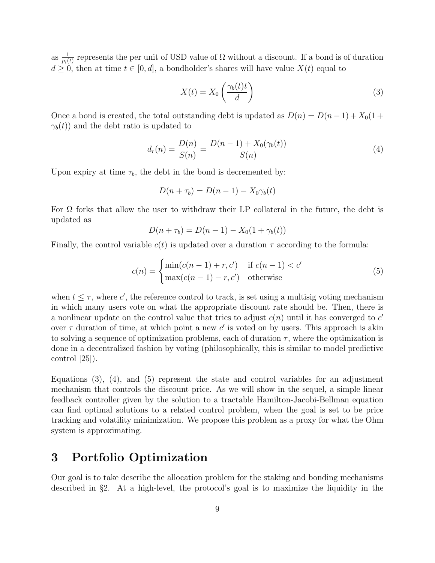as  $\frac{1}{p_i(t)}$  represents the per unit of USD value of  $\Omega$  without a discount. If a bond is of duration  $d \geq 0$ , then at time  $t \in [0, d]$ , a bondholder's shares will have value  $X(t)$  equal to

<span id="page-8-0"></span>
$$
X(t) = X_0 \left(\frac{\gamma_b(t)t}{d}\right) \tag{3}
$$

Once a bond is created, the total outstanding debt is updated as  $D(n) = D(n-1) + X_0(1 +$  $\gamma_b(t)$  and the debt ratio is updated to

<span id="page-8-1"></span>
$$
d_r(n) = \frac{D(n)}{S(n)} = \frac{D(n-1) + X_0(\gamma_b(t))}{S(n)}
$$
(4)

Upon expiry at time  $\tau_b$ , the debt in the bond is decremented by:

$$
D(n + \tau_b) = D(n - 1) - X_0 \gamma_b(t)
$$

For  $\Omega$  forks that allow the user to withdraw their LP collateral in the future, the debt is updated as

$$
D(n + \tau_b) = D(n - 1) - X_0(1 + \gamma_b(t))
$$

Finally, the control variable  $c(t)$  is updated over a duration  $\tau$  according to the formula:

<span id="page-8-2"></span>
$$
c(n) = \begin{cases} \min(c(n-1) + r, c') & \text{if } c(n-1) < c' \\ \max(c(n-1) - r, c') & \text{otherwise} \end{cases}
$$
(5)

when  $t \leq \tau$ , where c', the reference control to track, is set using a multisig voting mechanism in which many users vote on what the appropriate discount rate should be. Then, there is a nonlinear update on the control value that tries to adjust  $c(n)$  until it has converged to  $c'$ over  $\tau$  duration of time, at which point a new c' is voted on by users. This approach is akin to solving a sequence of optimization problems, each of duration  $\tau$ , where the optimization is done in a decentralized fashion by voting (philosophically, this is similar to model predictive control [\[25\]](#page-25-3)).

Equations  $(3)$ ,  $(4)$ , and  $(5)$  represent the state and control variables for an adjustment mechanism that controls the discount price. As we will show in the sequel, a simple linear feedback controller given by the solution to a tractable Hamilton-Jacobi-Bellman equation can find optimal solutions to a related control problem, when the goal is set to be price tracking and volatility minimization. We propose this problem as a proxy for what the Ohm system is approximating.

### 3 Portfolio Optimization

Our goal is to take describe the allocation problem for the staking and bonding mechanisms described in §[2.](#page-4-0) At a high-level, the protocol's goal is to maximize the liquidity in the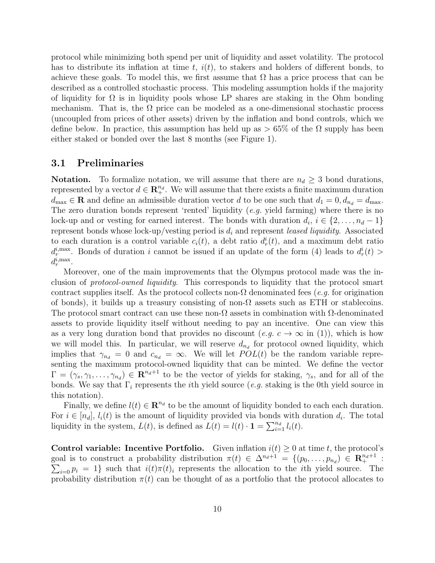protocol while minimizing both spend per unit of liquidity and asset volatility. The protocol has to distribute its inflation at time t,  $i(t)$ , to stakers and holders of different bonds, to achieve these goals. To model this, we first assume that  $\Omega$  has a price process that can be described as a controlled stochastic process. This modeling assumption holds if the majority of liquidity for  $\Omega$  is in liquidity pools whose LP shares are staking in the Ohm bonding mechanism. That is, the  $\Omega$  price can be modeled as a one-dimensional stochastic process (uncoupled from prices of other assets) driven by the inflation and bond controls, which we define below. In practice, this assumption has held up as  $> 65\%$  of the  $\Omega$  supply has been either staked or bonded over the last 8 months (see Figure [1\)](#page-6-0).

#### <span id="page-9-0"></span>3.1 Preliminaries

**Notation.** To formalize notation, we will assume that there are  $n_d \geq 3$  bond durations, represented by a vector  $d \in \mathbb{R}^{n_d}_+$ . We will assume that there exists a finite maximum duration  $d_{\text{max}} \in \mathbf{R}$  and define an admissible duration vector d to be one such that  $d_1 = 0, d_{n_d} = d_{\text{max}}$ . The zero duration bonds represent 'rented' liquidity  $(e.g.$  yield farming) where there is no lock-up and or vesting for earned interest. The bonds with duration  $d_i, i \in \{2, \ldots, n_d - 1\}$ represent bonds whose lock-up/vesting period is  $d_i$  and represent leased liquidity. Associated to each duration is a control variable  $c_i(t)$ , a debt ratio  $d_r^i(t)$ , and a maximum debt ratio  $d_r^{i, \text{max}}$ . Bonds of duration i cannot be issued if an update of the form [\(4\)](#page-8-1) leads to  $d_r^i(t)$  $d_r^{i, \max}$ .

Moreover, one of the main improvements that the Olympus protocol made was the inclusion of protocol-owned liquidity. This corresponds to liquidity that the protocol smart contract supplies itself. As the protocol collects non- $\Omega$  denominated fees (e.g. for origination of bonds), it builds up a treasury consisting of non- $\Omega$  assets such as ETH or stablecoins. The protocol smart contract can use these non- $\Omega$  assets in combination with  $\Omega$ -denominated assets to provide liquidity itself without needing to pay an incentive. One can view this as a very long duration bond that provides no discount (e.g.  $c \to \infty$  in [\(1\)](#page-7-1)), which is how we will model this. In particular, we will reserve  $d_{n_d}$  for protocol owned liquidity, which implies that  $\gamma_{n_d} = 0$  and  $c_{n_d} = \infty$ . We will let  $POL(t)$  be the random variable representing the maximum protocol-owned liquidity that can be minted. We define the vector  $\Gamma = (\gamma_s, \gamma_1, \ldots, \gamma_{n_d}) \in \mathbb{R}^{n_d+1}$  to be the vector of yields for staking,  $\gamma_s$ , and for all of the bonds. We say that  $\Gamma_i$  represents the *i*th yield source (*e.g.* staking is the 0th yield source in this notation).

Finally, we define  $l(t) \in \mathbb{R}^{n_d}$  to be the amount of liquidity bonded to each each duration. For  $i \in [n_d]$ ,  $l_i(t)$  is the amount of liquidity provided via bonds with duration  $d_i$ . The total liquidity in the system,  $L(t)$ , is defined as  $\overline{L}(t) = l(t) \cdot \mathbf{1} = \sum_{i=1}^{n_d} l_i(t)$ .

Control variable: Incentive Portfolio. Given inflation  $i(t) \geq 0$  at time t, the protocol's goal is to construct a probability distribution  $\pi(t) \in \Delta^{n_d+1} = \{(p_0, \ldots, p_{n_d}) \in \mathbb{R}^{n_d+1}$ :  $\sum_{i=0} p_i = 1$  such that  $i(t)\pi(t)_i$  represents the allocation to the *i*th yield source. The probability distribution  $\pi(t)$  can be thought of as a portfolio that the protocol allocates to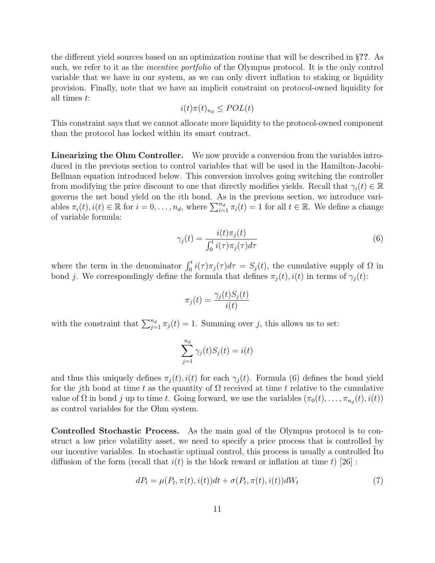the different yield sources based on an optimization routine that will be described in §??. As such, we refer to it as the *incentive portfolio* of the Olympus protocol. It is the only control variable that we have in our system, as we can only divert inflation to staking or liquidity provision. Finally, note that we have an implicit constraint on protocol-owned liquidity for all times t:

$$
i(t)\pi(t)_{n_d} \leq POL(t)
$$

This constraint says that we cannot allocate more liquidity to the protocol-owned component than the protocol has locked within its smart contract.

Linearizing the Ohm Controller. We now provide a conversion from the variables introduced in the previous section to control variables that will be used in the Hamilton-Jacobi-Bellman equation introduced below. This conversion involves going switching the controller from modifying the price discount to one that directly modifies yields. Recall that  $\gamma_i(t) \in \mathbb{R}$ governs the net bond yield on the ith bond. As in the previous section, we introduce variables  $\pi_i(t), i(t) \in \mathbb{R}$  for  $i = 0, \ldots, n_d$ , where  $\sum_{i=1}^{n_d} \pi_i(t) = 1$  for all  $t \in \mathbb{R}$ . We define a change of variable formula:

<span id="page-10-0"></span>
$$
\gamma_j(t) = \frac{i(t)\pi_j(t)}{\int_0^t i(\tau)\pi_j(\tau)d\tau}
$$
\n(6)

where the term in the denominator  $\int_0^t i(\tau)\pi_j(\tau)d\tau = S_j(t)$ , the cumulative supply of  $\Omega$  in bond j. We correspondingly define the formula that defines  $\pi_j(t)$ ,  $i(t)$  in terms of  $\gamma_j(t)$ :

$$
\pi_j(t) = \frac{\gamma_j(t)S_j(t)}{i(t)}
$$

with the constraint that  $\sum_{j=1}^{n_d} \pi_j(t) = 1$ . Summing over j, this allows us to set:

$$
\sum_{j=1}^{n_d} \gamma_j(t) S_j(t) = i(t)
$$

and thus this uniquely defines  $\pi_j(t)$ ,  $i(t)$  for each  $\gamma_j(t)$ . Formula [\(6\)](#page-10-0) defines the bond yield for the jth bond at time t as the quantity of  $\Omega$  received at time t relative to the cumulative value of  $\Omega$  in bond j up to time t. Going forward, we use the variables  $(\pi_0(t), \ldots, \pi_{n_d}(t), i(t))$ as control variables for the Ohm system.

Controlled Stochastic Process. As the main goal of the Olympus protocol is to construct a low price volatility asset, we need to specify a price process that is controlled by our incentive variables. In stochastic optimal control, this process is usually a controlled Ito diffusion of the form (recall that  $i(t)$  is the block reward or inflation at time t) [\[26\]](#page-25-4):

<span id="page-10-1"></span>
$$
dP_t = \mu(P_t, \pi(t), i(t))dt + \sigma(P_t, \pi(t), i(t))dW_t
$$
\n
$$
\tag{7}
$$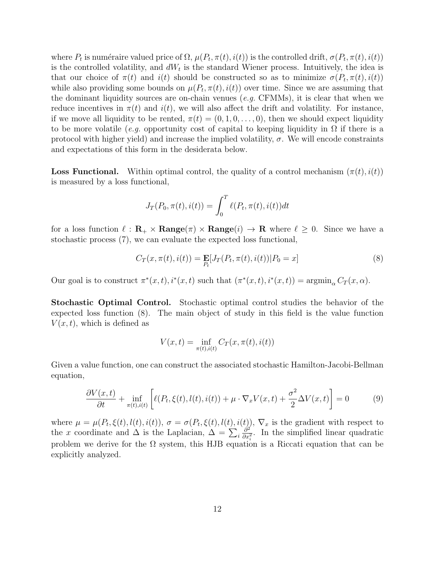where  $P_t$  is numéraire valued price of  $\Omega$ ,  $\mu(P_t, \pi(t), i(t))$  is the controlled drift,  $\sigma(P_t, \pi(t), i(t))$ is the controlled volatility, and  $dW_t$  is the standard Wiener process. Intuitively, the idea is that our choice of  $\pi(t)$  and  $i(t)$  should be constructed so as to minimize  $\sigma(P_t, \pi(t), i(t))$ while also providing some bounds on  $\mu(P_t, \pi(t), i(t))$  over time. Since we are assuming that the dominant liquidity sources are on-chain venues  $(e.g. \text{CFMMs})$ , it is clear that when we reduce incentives in  $\pi(t)$  and  $i(t)$ , we will also affect the drift and volatility. For instance, if we move all liquidity to be rented,  $\pi(t) = (0, 1, 0, \ldots, 0)$ , then we should expect liquidity to be more volatile (e.g. opportunity cost of capital to keeping liquidity in  $\Omega$  if there is a protocol with higher yield) and increase the implied volatility,  $\sigma$ . We will encode constraints and expectations of this form in the desiderata below.

**Loss Functional.** Within optimal control, the quality of a control mechanism  $(\pi(t), i(t))$ is measured by a loss functional,

$$
J_T(P_0, \pi(t), i(t)) = \int_0^T \ell(P_t, \pi(t), i(t))dt
$$

for a loss function  $\ell : \mathbf{R}_+ \times \mathbf{Range}(\pi) \times \mathbf{Range}(i) \to \mathbf{R}$  where  $\ell \geq 0$ . Since we have a stochastic process [\(7\)](#page-10-1), we can evaluate the expected loss functional,

<span id="page-11-1"></span>
$$
C_T(x, \pi(t), i(t)) = \mathop{\mathbf{E}}_{P_t}[J_T(P_t, \pi(t), i(t)) | P_0 = x]
$$
\n(8)

Our goal is to construct  $\pi^*(x,t)$ ,  $i^*(x,t)$  such that  $(\pi^*(x,t), i^*(x,t)) = \operatorname{argmin}_{\alpha} C_T(x,\alpha)$ .

Stochastic Optimal Control. Stochastic optimal control studies the behavior of the expected loss function [\(8\)](#page-11-1). The main object of study in this field is the value function  $V(x, t)$ , which is defined as

$$
V(x,t) = \inf_{\pi(t), i(t)} C_T(x, \pi(t), i(t))
$$

Given a value function, one can construct the associated stochastic Hamilton-Jacobi-Bellman equation,

<span id="page-11-2"></span>
$$
\frac{\partial V(x,t)}{\partial t} + \inf_{\pi(t),i(t)} \left[ \ell(P_t,\xi(t),l(t),i(t)) + \mu \cdot \nabla_x V(x,t) + \frac{\sigma^2}{2} \Delta V(x,t) \right] = 0 \tag{9}
$$

<span id="page-11-0"></span>where  $\mu = \mu(P_t, \xi(t), l(t), i(t)), \sigma = \sigma(P_t, \xi(t), l(t), i(t)), \nabla_x$  is the gradient with respect to the x coordinate and  $\Delta$  is the Laplacian,  $\Delta = \sum_i$  $\hat{\partial}^2$  $\frac{\partial^2}{\partial x_i^2}$ . In the simplified linear quadratic problem we derive for the  $\Omega$  system, this HJB equation is a Riccati equation that can be explicitly analyzed.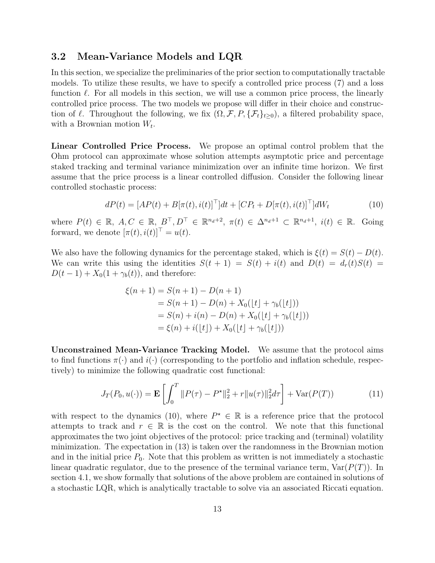### 3.2 Mean-Variance Models and LQR

In this section, we specialize the preliminaries of the prior section to computationally tractable models. To utilize these results, we have to specify a controlled price process [\(7\)](#page-10-1) and a loss function  $\ell$ . For all models in this section, we will use a common price process, the linearly controlled price process. The two models we propose will differ in their choice and construction of  $\ell$ . Throughout the following, we fix  $(\Omega, \mathcal{F}, P, \{\mathcal{F}_t\}_{t>0})$ , a filtered probability space, with a Brownian motion  $W_t$ .

Linear Controlled Price Process. We propose an optimal control problem that the Ohm protocol can approximate whose solution attempts asymptotic price and percentage staked tracking and terminal variance minimization over an infinite time horizon. We first assume that the price process is a linear controlled diffusion. Consider the following linear controlled stochastic process:

$$
dP(t) = [AP(t) + B[\pi(t), i(t)]^{\top}]dt + [CP_t + D[\pi(t), i(t)]^{\top}]dW_t
$$
\n(10)

where  $P(t) \in \mathbb{R}$ ,  $A, C \in \mathbb{R}$ ,  $B^{\top}, D^{\top} \in \mathbb{R}^{n_d+2}$ ,  $\pi(t) \in \Delta^{n_d+1} \subset \mathbb{R}^{n_d+1}$ ,  $i(t) \in \mathbb{R}$ . Going forward, we denote  $[\pi(t), i(t)]^{\top} = u(t)$ .

We also have the following dynamics for the percentage staked, which is  $\xi(t) = S(t) - D(t)$ . We can write this using the identities  $S(t + 1) = S(t) + i(t)$  and  $D(t) = d_r(t)S(t)$  $D(t-1) + X_0(1+\gamma_b(t))$ , and therefore:

<span id="page-12-0"></span>
$$
\xi(n+1) = S(n+1) - D(n+1)
$$
  
= S(n+1) - D(n) + X<sub>0</sub>( $\lfloor t \rfloor + \gamma_b(\lfloor t \rfloor)$ )  
= S(n) + i(n) - D(n) + X<sub>0</sub>( $\lfloor t \rfloor + \gamma_b(\lfloor t \rfloor)$ )  
=  $\xi(n) + i(\lfloor t \rfloor) + X_0(\lfloor t \rfloor + \gamma_b(\lfloor t \rfloor))$ 

Unconstrained Mean-Variance Tracking Model. We assume that the protocol aims to find functions  $\pi(\cdot)$  and  $i(\cdot)$  (corresponding to the portfolio and inflation schedule, respectively) to minimize the following quadratic cost functional:

$$
J_T(P_0, u(\cdot)) = \mathbf{E}\left[\int_0^T \|P(\tau) - P^{\star}\|_2^2 + r\|u(\tau)\|_2^2 d\tau\right] + \text{Var}(P(T))\tag{11}
$$

with respect to the dynamics [\(10\)](#page-12-0), where  $P^* \in \mathbb{R}$  is a reference price that the protocol attempts to track and  $r \in \mathbb{R}$  is the cost on the control. We note that this functional approximates the two joint objectives of the protocol: price tracking and (terminal) volatility minimization. The expectation in [\(13\)](#page-15-1) is taken over the randomness in the Brownian motion and in the initial price  $P_0$ . Note that this problem as written is not immediately a stochastic linear quadratic regulator, due to the presence of the terminal variance term,  $\text{Var}(P(T))$ . In section [4.1,](#page-15-0) we show formally that solutions of the above problem are contained in solutions of a stochastic LQR, which is analytically tractable to solve via an associated Riccati equation.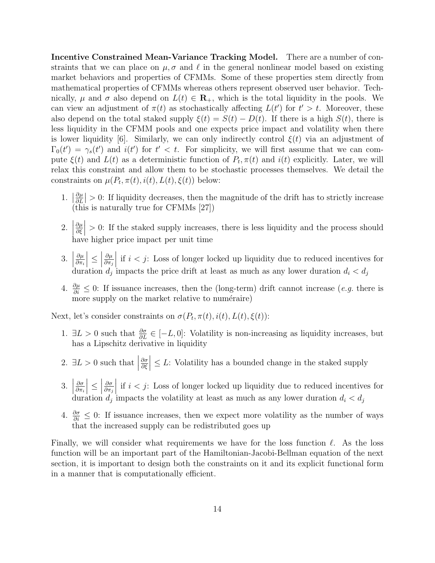Incentive Constrained Mean-Variance Tracking Model. There are a number of constraints that we can place on  $\mu$ ,  $\sigma$  and  $\ell$  in the general nonlinear model based on existing market behaviors and properties of CFMMs. Some of these properties stem directly from mathematical properties of CFMMs whereas others represent observed user behavior. Technically,  $\mu$  and  $\sigma$  also depend on  $L(t) \in \mathbf{R}_{+}$ , which is the total liquidity in the pools. We can view an adjustment of  $\pi(t)$  as stochastically affecting  $L(t')$  for  $t' > t$ . Moreover, these also depend on the total staked supply  $\xi(t) = S(t) - D(t)$ . If there is a high  $S(t)$ , there is less liquidity in the CFMM pools and one expects price impact and volatility when there is lower liquidity [\[6\]](#page-23-5). Similarly, we can only indirectly control  $\xi(t)$  via an adjustment of  $\Gamma_0(t') = \gamma_s(t')$  and  $i(t')$  for  $t' < t$ . For simplicity, we will first assume that we can compute  $\xi(t)$  and  $L(t)$  as a deterministic function of  $P_t$ ,  $\pi(t)$  and  $i(t)$  explicitly. Later, we will relax this constraint and allow them to be stochastic processes themselves. We detail the constraints on  $\mu(P_t, \pi(t), i(t), L(t), \xi(t))$  below:

- 1.  $\frac{\partial \mu}{\partial L}$  $\frac{\partial \mu}{\partial L}$  > 0: If liquidity decreases, then the magnitude of the drift has to strictly increase (this is naturally true for CFMMs [\[27\]](#page-25-5))
- $2.$  $\partial \mu$ ∂ξ  $\begin{array}{c} \hline \end{array}$ > 0: If the staked supply increases, there is less liquidity and the process should have higher price impact per unit time
- $3.$  $\partial \mu$  $\partial \pi_i$  $\left|\leq\right|$  $\partial \mu$  $\partial \pi_j$  $\begin{array}{c} \hline \end{array}$ if  $i < j$ : Loss of longer locked up liquidity due to reduced incentives for duration  $d_j$  impacts the price drift at least as much as any lower duration  $d_i < d_j$
- 4.  $\frac{\partial \mu}{\partial i}$  ≤ 0: If issuance increases, then the (long-term) drift cannot increase (*e.g.* there is more supply on the market relative to numéraire)

Next, let's consider constraints on  $\sigma(P_t, \pi(t), i(t), L(t), \xi(t))$ :

- 1.  $\exists L > 0$  such that  $\frac{\partial \sigma}{\partial L} \in [-L, 0]$ : Volatility is non-increasing as liquidity increases, but has a Lipschitz derivative in liquidity
- 2.  $\exists L > 0$  such that ∂σ ∂ξ  $\vert \leq L$ : Volatility has a bounded change in the staked supply
- 3.    ∂σ  $\partial \pi_i$  $\left|\leq\right|$ ∂σ  $\partial \pi_j$  $\begin{array}{c} \hline \end{array}$ if  $i < j$ : Loss of longer locked up liquidity due to reduced incentives for duration  $d_j$  impacts the volatility at least as much as any lower duration  $d_i < d_j$
- 4.  $\frac{\partial \sigma}{\partial i} \leq 0$ : If issuance increases, then we expect more volatility as the number of ways that the increased supply can be redistributed goes up

Finally, we will consider what requirements we have for the loss function  $\ell$ . As the loss function will be an important part of the Hamiltonian-Jacobi-Bellman equation of the next section, it is important to design both the constraints on it and its explicit functional form in a manner that is computationally efficient.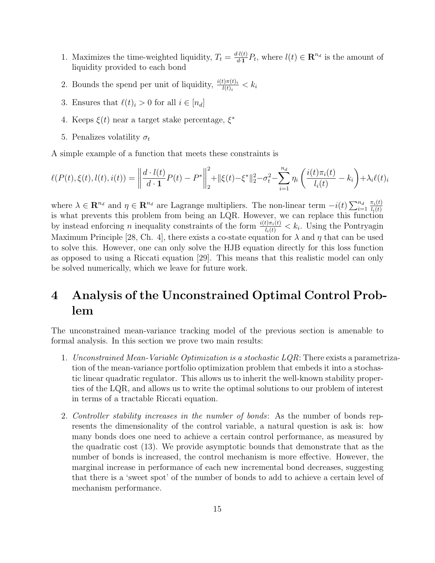- 1. Maximizes the time-weighted liquidity,  $T_t = \frac{d_l(t)}{dt}$  $\frac{d}{dt}P_t$ , where  $l(t) \in \mathbb{R}^{n_d}$  is the amount of liquidity provided to each bond
- 2. Bounds the spend per unit of liquidity,  $\frac{i(t)\pi(t)i}{l(t)i} < k_i$
- 3. Ensures that  $\ell(t)_i > 0$  for all  $i \in [n_d]$
- 4. Keeps  $\xi(t)$  near a target stake percentage,  $\xi^*$
- 5. Penalizes volatility  $\sigma_t$

A simple example of a function that meets these constraints is

$$
\ell(P(t), \xi(t), l(t), i(t)) = \left\| \frac{d \cdot l(t)}{d \cdot 1} P(t) - P^* \right\|_2^2 + \|\xi(t) - \xi^*\|_2^2 - \sigma_t^2 - \sum_{i=1}^{n_d} \eta_i \left( \frac{i(t)\pi_i(t)}{l_i(t)} - k_i \right) + \lambda_i \ell(t)_i
$$

where  $\lambda \in \mathbb{R}^{n_d}$  and  $\eta \in \mathbb{R}^{n_d}$  are Lagrange multipliers. The non-linear term  $-i(t) \sum_{i=1}^{n_d}$  $\pi_i(t)$  $l_i(t)$ is what prevents this problem from being an LQR. However, we can replace this function by instead enforcing n inequality constraints of the form  $\frac{i(t)\pi_i(t)}{l_i(t)} < k_i$ . Using the Pontryagin Maximum Principle [\[28,](#page-25-6) Ch. 4], there exists a co-state equation for  $\lambda$  and  $\eta$  that can be used to solve this. However, one can only solve the HJB equation directly for this loss function as opposed to using a Riccati equation [\[29\]](#page-25-7). This means that this realistic model can only be solved numerically, which we leave for future work.

## 4 Analysis of the Unconstrained Optimal Control Problem

The unconstrained mean-variance tracking model of the previous section is amenable to formal analysis. In this section we prove two main results:

- 1. Unconstrained Mean-Variable Optimization is a stochastic  $LQR$ : There exists a parametrization of the mean-variance portfolio optimization problem that embeds it into a stochastic linear quadratic regulator. This allows us to inherit the well-known stability properties of the LQR, and allows us to write the optimal solutions to our problem of interest in terms of a tractable Riccati equation.
- 2. Controller stability increases in the number of bonds: As the number of bonds represents the dimensionality of the control variable, a natural question is ask is: how many bonds does one need to achieve a certain control performance, as measured by the quadratic cost [\(13\)](#page-15-1). We provide asymptotic bounds that demonstrate that as the number of bonds is increased, the control mechanism is more effective. However, the marginal increase in performance of each new incremental bond decreases, suggesting that there is a 'sweet spot' of the number of bonds to add to achieve a certain level of mechanism performance.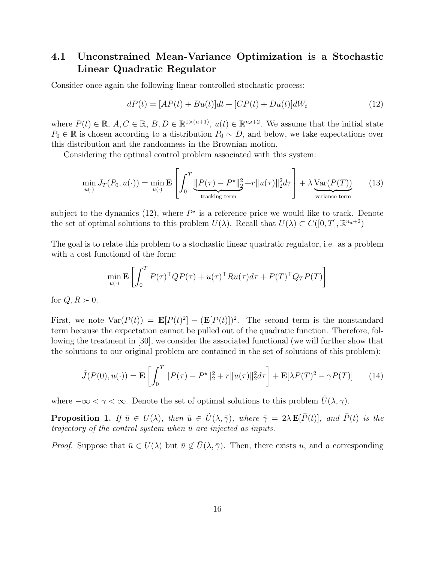### <span id="page-15-0"></span>4.1 Unconstrained Mean-Variance Optimization is a Stochastic Linear Quadratic Regulator

Consider once again the following linear controlled stochastic process:

<span id="page-15-2"></span><span id="page-15-1"></span>
$$
dP(t) = [AP(t) + Bu(t)]dt + [CP(t) + Du(t)]dW_t
$$
\n(12)

where  $P(t) \in \mathbb{R}, A, C \in \mathbb{R}, B, D \in \mathbb{R}^{1 \times (n+1)}, u(t) \in \mathbb{R}^{n_d+2}$ . We assume that the initial state  $P_0 \in \mathbb{R}$  is chosen according to a distribution  $P_0 \sim D$ , and below, we take expectations over this distribution and the randomness in the Brownian motion.

Considering the optimal control problem associated with this system:

$$
\min_{u(\cdot)} J_T(P_0, u(\cdot)) = \min_{u(\cdot)} \mathbf{E} \left[ \int_0^T \underbrace{\|P(\tau) - P^{\star}\|_2^2}_{\text{tracking term}} + r \|u(\tau)\|_2^2 d\tau \right] + \lambda \underbrace{\text{Var}(P(T))}_{\text{variance term}} \tag{13}
$$

subject to the dynamics [\(12\)](#page-15-2), where  $P^*$  is a reference price we would like to track. Denote the set of optimal solutions to this problem  $U(\lambda)$ . Recall that  $U(\lambda) \subset C([0, T], \mathbb{R}^{n_d+2})$ 

The goal is to relate this problem to a stochastic linear quadratic regulator, i.e. as a problem with a cost functional of the form:

<span id="page-15-3"></span>
$$
\min_{u(\cdot)} \mathbf{E} \left[ \int_0^T P(\tau)^\top Q P(\tau) + u(\tau)^\top R u(\tau) d\tau + P(T)^\top Q_T P(T) \right]
$$

for  $Q, R \succ 0$ .

First, we note  $Var(P(t)) = E[P(t)^{2}] - (E[P(t)])^{2}$ . The second term is the nonstandard term because the expectation cannot be pulled out of the quadratic function. Therefore, following the treatment in [\[30\]](#page-25-8), we consider the associated functional (we will further show that the solutions to our original problem are contained in the set of solutions of this problem):

$$
\tilde{J}(P(0), u(\cdot)) = \mathbf{E}\left[\int_0^T \|P(\tau) - P^{\star}\|_2^2 + r\|u(\tau)\|_2^2 d\tau\right] + \mathbf{E}[\lambda P(T)^2 - \gamma P(T)] \tag{14}
$$

where  $-\infty < \gamma < \infty$ . Denote the set of optimal solutions to this problem  $\tilde{U}(\lambda, \gamma)$ .

**Proposition 1.** If  $\bar{u} \in U(\lambda)$ , then  $\bar{u} \in \tilde{U}(\lambda, \bar{\gamma})$ , where  $\bar{\gamma} = 2\lambda \mathbf{E}[\bar{P}(t)]$ , and  $\bar{P}(t)$  is the trajectory of the control system when  $\bar{u}$  are injected as inputs.

*Proof.* Suppose that  $\bar{u} \in U(\lambda)$  but  $\bar{u} \notin \bar{U}(\lambda, \bar{\gamma})$ . Then, there exists u, and a corresponding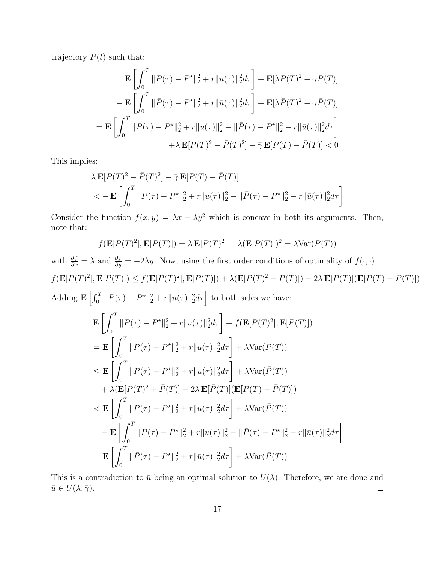trajectory  $P(t)$  such that:

$$
\mathbf{E}\left[\int_0^T \|P(\tau) - P^*\|_2^2 + r \|u(\tau)\|_2^2 d\tau\right] + \mathbf{E}[\lambda P(T)^2 - \gamma P(T)]
$$

$$
-\mathbf{E}\left[\int_0^T \|\bar{P}(\tau) - P^*\|_2^2 + r \|\bar{u}(\tau)\|_2^2 d\tau\right] + \mathbf{E}[\lambda \bar{P}(T)^2 - \gamma \bar{P}(T)]
$$

$$
=\mathbf{E}\left[\int_0^T \|P(\tau) - P^*\|_2^2 + r \|u(\tau)\|_2^2 - \|\bar{P}(\tau) - P^*\|_2^2 - r \|\bar{u}(\tau)\|_2^2 d\tau\right]
$$

$$
+ \lambda \mathbf{E}[P(T)^2 - \bar{P}(T)^2] - \bar{\gamma} \mathbf{E}[P(T) - \bar{P}(T)] < 0
$$

This implies:

$$
\lambda \mathbf{E}[P(T)^{2} - \bar{P}(T)^{2}] - \bar{\gamma} \mathbf{E}[P(T) - \bar{P}(T)]
$$
  

$$
< -\mathbf{E}\left[\int_{0}^{T} ||P(\tau) - P^{\star}||_{2}^{2} + r||u(\tau)||_{2}^{2} - ||\bar{P}(\tau) - P^{\star}||_{2}^{2} - r||\bar{u}(\tau)||_{2}^{2}d\tau\right]
$$

Consider the function  $f(x, y) = \lambda x - \lambda y^2$  which is concave in both its arguments. Then, note that:

$$
f(\mathbf{E}[P(T)^{2}], \mathbf{E}[P(T)]) = \lambda \mathbf{E}[P(T)^{2}] - \lambda(\mathbf{E}[P(T)])^{2} = \lambda \text{Var}(P(T))
$$

with  $\frac{\partial f}{\partial x} = \lambda$  and  $\frac{\partial f}{\partial y} = -2\lambda y$ . Now, using the first order conditions of optimality of  $f(\cdot, \cdot)$ :  $f(\mathbf{E}[P(T)^2], \mathbf{E}[P(T)]) \leq f(\mathbf{E}[\overline{P}(T)^2], \mathbf{E}[P(T)]) + \lambda(\mathbf{E}[P(T)^2 - \overline{P}(T)]) - 2\lambda \mathbf{E}[\overline{P}(T)](\mathbf{E}[P(T) - \overline{P}(T)])$ Adding  $\mathbf{E}\left[\int_0^T \|P(\tau) - P^{\star}\|_2^2 + r \|u(\tau)\|_2^2 d\tau\right]$  to both sides we have:

$$
\mathbf{E} \left[ \int_0^T \|P(\tau) - P^{\star}\|_2^2 + r \|u(\tau)\|_2^2 d\tau \right] + f(\mathbf{E}[P(T)^2], \mathbf{E}[P(T)])
$$
\n
$$
= \mathbf{E} \left[ \int_0^T \|P(\tau) - P^{\star}\|_2^2 + r \|u(\tau)\|_2^2 d\tau \right] + \lambda \text{Var}(P(T))
$$
\n
$$
\leq \mathbf{E} \left[ \int_0^T \|P(\tau) - P^{\star}\|_2^2 + r \|u(\tau)\|_2^2 d\tau \right] + \lambda \text{Var}(\bar{P}(T))
$$
\n
$$
+ \lambda (\mathbf{E}[P(T)^2 + \bar{P}(T)] - 2\lambda \mathbf{E}[\bar{P}(T)] (\mathbf{E}[P(T) - \bar{P}(T)])
$$
\n
$$
< \mathbf{E} \left[ \int_0^T \|P(\tau) - P^{\star}\|_2^2 + r \|u(\tau)\|_2^2 d\tau \right] + \lambda \text{Var}(\bar{P}(T))
$$
\n
$$
- \mathbf{E} \left[ \int_0^T \|P(\tau) - P^{\star}\|_2^2 + r \|u(\tau)\|_2^2 - \|\bar{P}(\tau) - P^{\star}\|_2^2 - r \|\bar{u}(\tau)\|_2^2 d\tau \right]
$$
\n
$$
= \mathbf{E} \left[ \int_0^T \|\bar{P}(\tau) - P^{\star}\|_2^2 + r \|\bar{u}(\tau)\|_2^2 d\tau \right] + \lambda \text{Var}(\bar{P}(T))
$$

This is a contradiction to  $\bar{u}$  being an optimal solution to  $U(\lambda)$ . Therefore, we are done and  $\bar{u} \in \tilde{U}(\lambda, \bar{\gamma}).$  $\Box$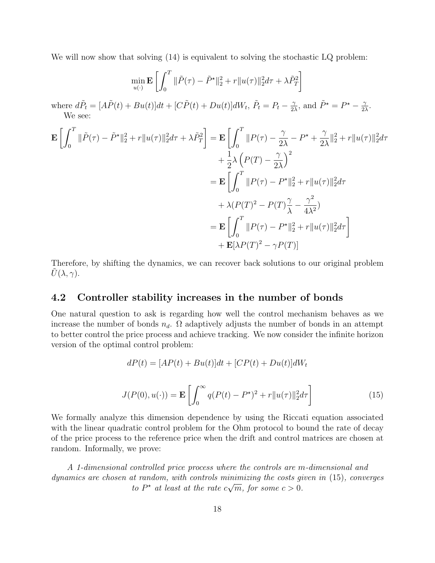We will now show that solving  $(14)$  is equivalent to solving the stochastic LQ problem:

$$
\min_{u(\cdot)} \mathbf{E} \left[ \int_0^T \|\tilde{P}(\tau) - \tilde{P}^{\star}\|_2^2 + r \|u(\tau)\|_2^2 d\tau + \lambda \tilde{P}_T^2 \right]
$$

where  $d\tilde{P}_t = [A\tilde{P}(t) + Bu(t)]dt + [C\tilde{P}(t) + Du(t)]dW_t, \tilde{P}_t = P_t - \frac{\gamma}{2}$  $\frac{\gamma}{2\lambda}$ , and  $\tilde{P}^{\star} = P^{\star} - \frac{\gamma}{2\lambda}$  $\frac{\gamma}{2\lambda}$ . We see:

$$
\mathbf{E} \left[ \int_0^T \|\tilde{P}(\tau) - \tilde{P}^{\star}\|_2^2 + r \|u(\tau)\|_2^2 d\tau + \lambda \tilde{P}_T^2 \right] = \mathbf{E} \left[ \int_0^T \|P(\tau) - \frac{\gamma}{2\lambda} - P^{\star} + \frac{\gamma}{2\lambda} \|_2^2 + r \|u(\tau)\|_2^2 d\tau \right. \\ \left. + \frac{1}{2}\lambda \left( P(T) - \frac{\gamma}{2\lambda} \right)^2 \\ = \mathbf{E} \left[ \int_0^T \|P(\tau) - P^{\star}\|_2^2 + r \|u(\tau)\|_2^2 d\tau \right. \\ \left. + \lambda (P(T)^2 - P(T)\frac{\gamma}{\lambda} - \frac{\gamma^2}{4\lambda^2}) \right. \\ \left. - \mathbf{E} \left[ \int_0^T \|P(\tau) - P^{\star}\|_2^2 + r \|u(\tau)\|_2^2 d\tau \right] \right. \\ \left. + \mathbf{E} [\lambda P(T)^2 - \gamma P(T)] \right]
$$

Therefore, by shifting the dynamics, we can recover back solutions to our original problem  $U(\lambda, \gamma)$ .

### <span id="page-17-0"></span>4.2 Controller stability increases in the number of bonds

One natural question to ask is regarding how well the control mechanism behaves as we increase the number of bonds  $n_d$ .  $\Omega$  adaptively adjusts the number of bonds in an attempt to better control the price process and achieve tracking. We now consider the infinite horizon version of the optimal control problem:

<span id="page-17-1"></span>
$$
dP(t) = [AP(t) + Bu(t)]dt + [CP(t) + Du(t)]dW_t
$$

$$
J(P(0), u(\cdot)) = \mathbf{E}\left[\int_0^\infty q(P(t) - P^\star)^2 + r||u(\tau)||_2^2 d\tau\right]
$$
(15)

We formally analyze this dimension dependence by using the Riccati equation associated with the linear quadratic control problem for the Ohm protocol to bound the rate of decay of the price process to the reference price when the drift and control matrices are chosen at random. Informally, we prove:

A 1-dimensional controlled price process where the controls are m-dimensional and dynamics are chosen at random, with controls minimizing the costs given in [\(15\)](#page-17-1), converges  $\mu$  random, with controls min<br>to P\* at least at the rate c $\sqrt{ }$  $\overline{m}$ , for some  $c > 0$ .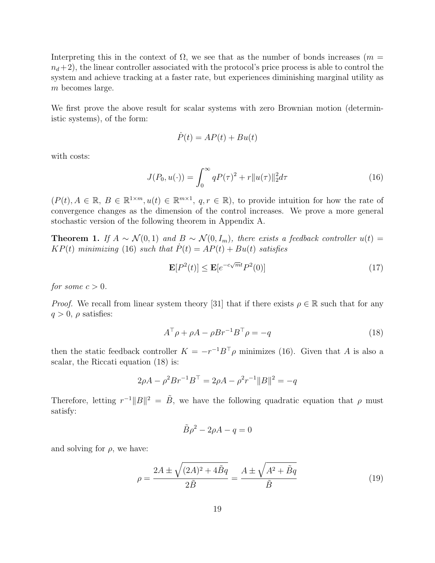Interpreting this in the context of  $\Omega$ , we see that as the number of bonds increases ( $m =$  $n_d+2$ , the linear controller associated with the protocol's price process is able to control the system and achieve tracking at a faster rate, but experiences diminishing marginal utility as m becomes large.

We first prove the above result for scalar systems with zero Brownian motion (deterministic systems), of the form:

<span id="page-18-0"></span>
$$
P(t) = AP(t) + Bu(t)
$$

with costs:

$$
J(P_0, u(\cdot)) = \int_0^\infty q P(\tau)^2 + r \|u(\tau)\|_2^2 d\tau
$$
\n(16)

 $(P(t), A \in \mathbb{R}, B \in \mathbb{R}^{1 \times m}, u(t) \in \mathbb{R}^{m \times 1}, q, r \in \mathbb{R}$ , to provide intuition for how the rate of convergence changes as the dimension of the control increases. We prove a more general stochastic version of the following theorem in Appendix [A.](#page-26-1)

**Theorem 1.** If  $A \sim \mathcal{N}(0, 1)$  and  $B \sim \mathcal{N}(0, I_m)$ , there exists a feedback controller  $u(t) =$  $KP(t)$  minimizing [\(16\)](#page-18-0) such that  $\dot{P}(t) = AP(t) + Bu(t)$  satisfies

$$
\mathbf{E}[P^2(t)] \le \mathbf{E}[e^{-c\sqrt{m}t}P^2(0)]\tag{17}
$$

for some  $c > 0$ .

*Proof.* We recall from linear system theory [\[31\]](#page-25-9) that if there exists  $\rho \in \mathbb{R}$  such that for any  $q > 0$ ,  $\rho$  satisfies:

<span id="page-18-1"></span>
$$
A^{\top} \rho + \rho A - \rho B r^{-1} B^{\top} \rho = -q \tag{18}
$$

then the static feedback controller  $K = -r^{-1}B^{\top}\rho$  minimizes [\(16\)](#page-18-0). Given that A is also a scalar, the Riccati equation [\(18\)](#page-18-1) is:

$$
2\rho A - \rho^2 B r^{-1} B^{\top} = 2\rho A - \rho^2 r^{-1} ||B||^2 = -q
$$

Therefore, letting  $r^{-1}||B||^2 = \tilde{B}$ , we have the following quadratic equation that  $\rho$  must satisfy:

<span id="page-18-2"></span>
$$
\tilde{B}\rho^2 - 2\rho A - q = 0
$$

and solving for  $\rho$ , we have:

$$
\rho = \frac{2A \pm \sqrt{(2A)^2 + 4\tilde{B}q}}{2\tilde{B}} = \frac{A \pm \sqrt{A^2 + \tilde{B}q}}{\tilde{B}}
$$
(19)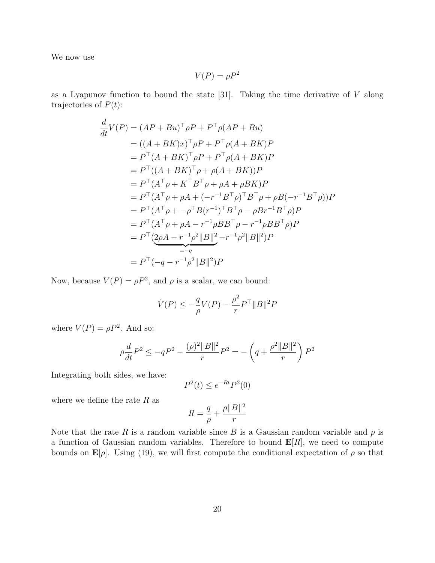We now use

$$
V(P) = \rho P^2
$$

as a Lyapunov function to bound the state  $[31]$ . Taking the time derivative of V along trajectories of  $P(t)$ :

$$
\frac{d}{dt}V(P) = (AP + Bu)^{\top}\rho P + P^{\top}\rho(AP + Bu) \n= ((A + BK)x)^{\top}\rho P + P^{\top}\rho(A + BK)P \n= P^{\top}(A + BK)^{\top}\rho P + P^{\top}\rho(A + BK)P \n= P^{\top}((A + BK)^{\top}\rho + \rho(A + BK))P \n= P^{\top}(A^{\top}\rho + K^{\top}B^{\top}\rho + \rho A + \rho BK)P \n= P^{\top}(A^{\top}\rho + \rho A + (-r^{-1}B^{\top}\rho)^{\top}B^{\top}\rho + \rho B(-r^{-1}B^{\top}\rho))P \n= P^{\top}(A^{\top}\rho + \rho A - r^{-1}B^{\top}\rho)P \n= P^{\top}(A^{\top}\rho + \rho A - r^{-1}\rho BB^{\top}\rho - r^{-1}\rho BB^{\top}\rho)P \n= P^{\top}(2\rho A - r^{-1}\rho^{2}||B||^{2} - r^{-1}\rho^{2}||B||^{2})P \n= P^{\top}(-q - r^{-1}\rho^{2}||B||^{2})P
$$

Now, because  $V(P) = \rho P^2$ , and  $\rho$  is a scalar, we can bound:

$$
\dot{V}(P) \le -\frac{q}{\rho}V(P) - \frac{\rho^2}{r}P^\top \|B\|^2 P
$$

where  $V(P) = \rho P^2$ . And so:

$$
\rho \frac{d}{dt} P^2 \leq - q P^2 - \frac{(\rho)^2 \|B\|^2}{r} P^2 = - \left(q + \frac{\rho^2 \|B\|^2}{r} \right) P^2
$$

Integrating both sides, we have:

$$
P^2(t) \le e^{-Rt} P^2(0)
$$

where we define the rate  $R$  as

$$
R=\frac{q}{\rho}+\frac{\rho \|B\|^2}{r}
$$

Note that the rate R is a random variable since B is a Gaussian random variable and  $p$  is a function of Gaussian random variables. Therefore to bound  $\mathbf{E}[R]$ , we need to compute bounds on  $\mathbf{E}[\rho]$ . Using [\(19\)](#page-18-2), we will first compute the conditional expectation of  $\rho$  so that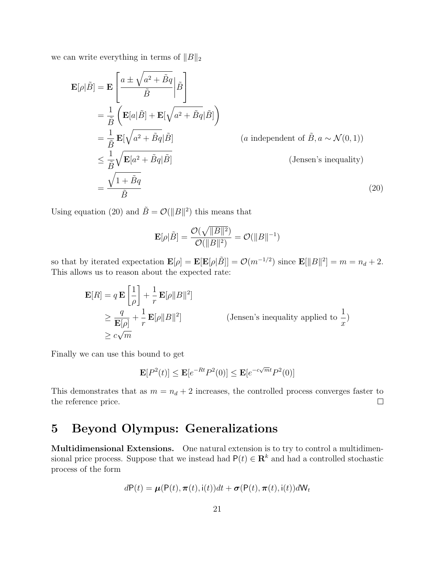we can write everything in terms of  $||B||_2$ 

$$
\mathbf{E}[\rho|\tilde{B}] = \mathbf{E} \left[ \frac{a \pm \sqrt{a^2 + \tilde{B}q}}{\tilde{B}} \Big| \tilde{B} \right]
$$
  
\n
$$
= \frac{1}{\tilde{B}} \left( \mathbf{E}[a|\tilde{B}] + \mathbf{E}[\sqrt{a^2 + \tilde{B}q}|\tilde{B}] \right)
$$
  
\n
$$
= \frac{1}{\tilde{B}} \mathbf{E}[\sqrt{a^2 + \tilde{B}q}|\tilde{B}]
$$
 (*a* independent of  $\tilde{B}, a \sim \mathcal{N}(0, 1)$ )  
\n
$$
\leq \frac{1}{\tilde{B}} \sqrt{\mathbf{E}[a^2 + \tilde{B}q|\tilde{B}]}
$$
 (Jensen's inequality)  
\n
$$
= \frac{\sqrt{1 + \tilde{B}q}}{\tilde{B}}
$$
 (20)

Using equation [\(20\)](#page-20-1) and  $\tilde{B} = \mathcal{O}(\Vert B \Vert^2)$  this means that

<span id="page-20-1"></span>
$$
\mathbf{E}[\rho|\tilde{B}] = \frac{\mathcal{O}(\sqrt{\|B\|^2})}{\mathcal{O}(\|B\|^2)} = \mathcal{O}(\|B\|^{-1})
$$

so that by iterated expectation  $\mathbf{E}[\rho] = \mathbf{E}[\mathbf{E}[\rho|\tilde{B}]] = \mathcal{O}(m^{-1/2})$  since  $\mathbf{E}[\|\tilde{B}\|^2] = m = n_d + 2$ . This allows us to reason about the expected rate:

$$
\mathbf{E}[R] = q \mathbf{E} \left[ \frac{1}{\rho} \right] + \frac{1}{r} \mathbf{E}[\rho ||B||^2]
$$
  
\n
$$
\geq \frac{q}{\mathbf{E}[\rho]} + \frac{1}{r} \mathbf{E}[\rho ||B||^2]
$$
 (Jensen's inequality applied to  $\frac{1}{x}$ )  
\n
$$
\geq c\sqrt{m}
$$

Finally we can use this bound to get

$$
\mathbf{E}[P^2(t)] \le \mathbf{E}[e^{-Rt}P^2(0)] \le \mathbf{E}[e^{-c\sqrt{m}t}P^2(0)]
$$

This demonstrates that as  $m = n_d + 2$  increases, the controlled process converges faster to the reference price.  $\Box$ 

### <span id="page-20-0"></span>5 Beyond Olympus: Generalizations

Multidimensional Extensions. One natural extension is to try to control a multidimensional price process. Suppose that we instead had  $P(t) \in \mathbb{R}^k$  and had a controlled stochastic process of the form

$$
dP(t) = \boldsymbol{\mu}(P(t), \boldsymbol{\pi}(t), \mathbf{i}(t))dt + \boldsymbol{\sigma}(P(t), \boldsymbol{\pi}(t), \mathbf{i}(t))dW_t
$$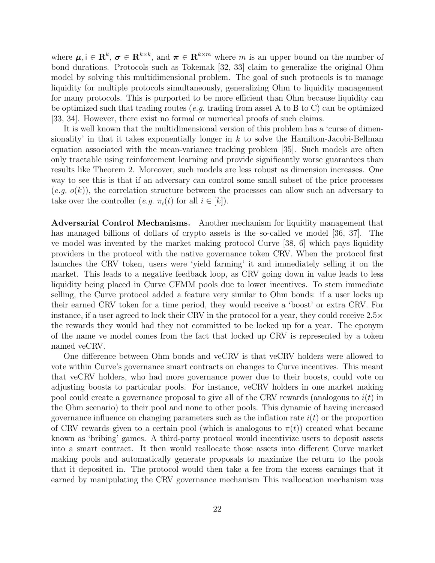where  $\mu, i \in \mathbf{R}^k$ ,  $\sigma \in \mathbf{R}^{k \times k}$ , and  $\pi \in \mathbf{R}^{k \times m}$  where m is an upper bound on the number of bond durations. Protocols such as Tokemak [\[32,](#page-25-10) [33\]](#page-25-11) claim to generalize the original Ohm model by solving this multidimensional problem. The goal of such protocols is to manage liquidity for multiple protocols simultaneously, generalizing Ohm to liquidity management for many protocols. This is purported to be more efficient than Ohm because liquidity can be optimized such that trading routes (*e.g.* trading from asset A to B to C) can be optimized [\[33,](#page-25-11) [34\]](#page-25-12). However, there exist no formal or numerical proofs of such claims.

It is well known that the multidimensional version of this problem has a 'curse of dimensionality' in that it takes exponentially longer in  $k$  to solve the Hamilton-Jacobi-Bellman equation associated with the mean-variance tracking problem [\[35\]](#page-25-13). Such models are often only tractable using reinforcement learning and provide significantly worse guarantees than results like Theorem [2.](#page-27-0) Moreover, such models are less robust as dimension increases. One way to see this is that if an adversary can control some small subset of the price processes  $(e.g. o(k))$ , the correlation structure between the processes can allow such an adversary to take over the controller (*e.g.*  $\pi_i(t)$  for all  $i \in [k]$ ).

Adversarial Control Mechanisms. Another mechanism for liquidity management that has managed billions of dollars of crypto assets is the so-called ve model [\[36,](#page-25-14) [37\]](#page-26-2). The ve model was invented by the market making protocol Curve [\[38,](#page-26-3) [6\]](#page-23-5) which pays liquidity providers in the protocol with the native governance token CRV. When the protocol first launches the CRV token, users were 'yield farming' it and immediately selling it on the market. This leads to a negative feedback loop, as CRV going down in value leads to less liquidity being placed in Curve CFMM pools due to lower incentives. To stem immediate selling, the Curve protocol added a feature very similar to Ohm bonds: if a user locks up their earned CRV token for a time period, they would receive a 'boost' or extra CRV. For instance, if a user agreed to lock their CRV in the protocol for a year, they could receive 2.5× the rewards they would had they not committed to be locked up for a year. The eponym of the name ve model comes from the fact that locked up CRV is represented by a token named veCRV.

One difference between Ohm bonds and veCRV is that veCRV holders were allowed to vote within Curve's governance smart contracts on changes to Curve incentives. This meant that veCRV holders, who had more governance power due to their boosts, could vote on adjusting boosts to particular pools. For instance, veCRV holders in one market making pool could create a governance proposal to give all of the CRV rewards (analogous to  $i(t)$  in the Ohm scenario) to their pool and none to other pools. This dynamic of having increased governance influence on changing parameters such as the inflation rate  $i(t)$  or the proportion of CRV rewards given to a certain pool (which is analogous to  $\pi(t)$ ) created what became known as 'bribing' games. A third-party protocol would incentivize users to deposit assets into a smart contract. It then would reallocate those assets into different Curve market making pools and automatically generate proposals to maximize the return to the pools that it deposited in. The protocol would then take a fee from the excess earnings that it earned by manipulating the CRV governance mechanism This reallocation mechanism was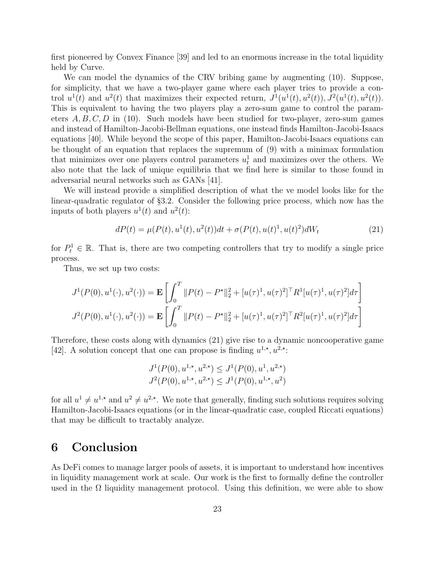first pioneered by Convex Finance [\[39\]](#page-26-4) and led to an enormous increase in the total liquidity held by Curve.

We can model the dynamics of the CRV bribing game by augmenting [\(10\)](#page-12-0). Suppose, for simplicity, that we have a two-player game where each player tries to provide a control  $u^1(t)$  and  $u^2(t)$  that maximizes their expected return,  $J^1(u^1(t), u^2(t)), J^2(u^1(t), u^2(t)).$ This is equivalent to having the two players play a zero-sum game to control the parameters  $A, B, C, D$  in [\(10\)](#page-12-0). Such models have been studied for two-player, zero-sum games and instead of Hamilton-Jacobi-Bellman equations, one instead finds Hamilton-Jacobi-Isaacs equations [\[40\]](#page-26-5). While beyond the scope of this paper, Hamilton-Jacobi-Isaacs equations can be thought of an equation that replaces the supremum of [\(9\)](#page-11-2) with a minimax formulation that minimizes over one players control parameters  $u_t^1$  and maximizes over the others. We also note that the lack of unique equilibria that we find here is similar to those found in adversarial neural networks such as GANs [\[41\]](#page-26-6).

We will instead provide a simplified description of what the ve model looks like for the linear-quadratic regulator of §[3.2.](#page-11-0) Consider the following price process, which now has the inputs of both players  $u^1(t)$  and  $u^2(t)$ :

<span id="page-22-0"></span>
$$
dP(t) = \mu(P(t), u^{1}(t), u^{2}(t))dt + \sigma(P(t), u(t)^{1}, u(t)^{2})dW_{t}
$$
\n(21)

for  $P_t^1 \in \mathbb{R}$ . That is, there are two competing controllers that try to modify a single price process.

Thus, we set up two costs:

$$
J^{1}(P(0), u^{1}(\cdot), u^{2}(\cdot)) = \mathbf{E}\left[\int_{0}^{T} ||P(t) - P^{\star}||_{2}^{2} + [u(\tau)^{1}, u(\tau)^{2}]^{\top} R^{1}[u(\tau)^{1}, u(\tau)^{2}] d\tau\right]
$$

$$
J^{2}(P(0), u^{1}(\cdot), u^{2}(\cdot)) = \mathbf{E}\left[\int_{0}^{T} ||P(t) - P^{\star}||_{2}^{2} + [u(\tau)^{1}, u(\tau)^{2}]^{\top} R^{2}[u(\tau)^{1}, u(\tau)^{2}] d\tau\right]
$$

Therefore, these costs along with dynamics [\(21\)](#page-22-0) give rise to a dynamic noncooperative game [\[42\]](#page-26-7). A solution concept that one can propose is finding  $u^{1,*}, u^{2,*}$ :

$$
J^1(P(0), u^{1,\star}, u^{2,\star}) \leq J^1(P(0), u^1, u^{2,\star})
$$
  

$$
J^2(P(0), u^{1,\star}, u^{2,\star}) \leq J^1(P(0), u^{1,\star}, u^2)
$$

for all  $u^1 \neq u^{1,\star}$  and  $u^2 \neq u^{2,\star}$ . We note that generally, finding such solutions requires solving Hamilton-Jacobi-Isaacs equations (or in the linear-quadratic case, coupled Riccati equations) that may be difficult to tractably analyze.

### 6 Conclusion

As DeFi comes to manage larger pools of assets, it is important to understand how incentives in liquidity management work at scale. Our work is the first to formally define the controller used in the  $\Omega$  liquidity management protocol. Using this definition, we were able to show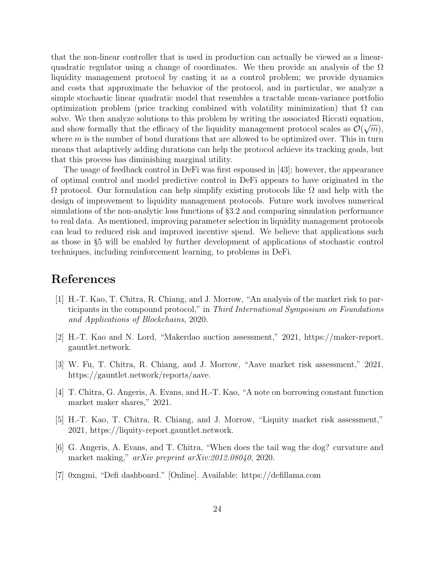that the non-linear controller that is used in production can actually be viewed as a linearquadratic regulator using a change of coordinates. We then provide an analysis of the  $\Omega$ liquidity management protocol by casting it as a control problem; we provide dynamics and costs that approximate the behavior of the protocol, and in particular, we analyze a simple stochastic linear quadratic model that resembles a tractable mean-variance portfolio optimization problem (price tracking combined with volatility minimization) that  $\Omega$  can solve. We then analyze solutions to this problem by writing the associated Riccati equation, and show formally that the efficacy of the liquidity management protocol scales as  $\mathcal{O}(\sqrt{m})$ , where  $m$  is the number of bond durations that are allowed to be optimized over. This in turn means that adaptively adding durations can help the protocol achieve its tracking goals, but that this process has diminishing marginal utility.

The usage of feedback control in DeFi was first espoused in [\[43\]](#page-26-8); however, the appearance of optimal control and model predictive control in DeFi appears to have originated in the  $Ω$  protocol. Our formulation can help simplify existing protocols like  $Ω$  and help with the design of improvement to liquidity management protocols. Future work involves numerical simulations of the non-analytic loss functions of §[3.2](#page-11-0) and comparing simulation performance to real data. As mentioned, improving parameter selection in liquidity management protocols can lead to reduced risk and improved incentive spend. We believe that applications such as those in §[5](#page-20-0) will be enabled by further development of applications of stochastic control techniques, including reinforcement learning, to problems in DeFi.

### References

- <span id="page-23-0"></span>[1] H.-T. Kao, T. Chitra, R. Chiang, and J. Morrow, "An analysis of the market risk to participants in the compound protocol," in Third International Symposium on Foundations and Applications of Blockchains, 2020.
- <span id="page-23-1"></span>[2] H.-T. Kao and N. Lord, "Makerdao auction assessment," 2021, [https://maker-report.](https://maker-report.gauntlet.network) [gauntlet.network.](https://maker-report.gauntlet.network)
- <span id="page-23-2"></span>[3] W. Fu, T. Chitra, R. Chiang, and J. Morrow, "Aave market risk assessment," 2021, [https://gauntlet.network/reports/aave.](https://gauntlet.network/reports/aave)
- <span id="page-23-3"></span>[4] T. Chitra, G. Angeris, A. Evans, and H.-T. Kao, "A note on borrowing constant function market maker shares," 2021.
- <span id="page-23-4"></span>[5] H.-T. Kao, T. Chitra, R. Chiang, and J. Morrow, "Liquity market risk assessment," 2021, [https://liquity-report.gauntlet.network.](https://liquity-report.gauntlet.network)
- <span id="page-23-5"></span>[6] G. Angeris, A. Evans, and T. Chitra, "When does the tail wag the dog? curvature and market making," arXiv preprint arXiv:2012.08040, 2020.
- <span id="page-23-7"></span><span id="page-23-6"></span>[7] 0xngmi, "Defi dashboard." [Online]. Available:<https://defillama.com>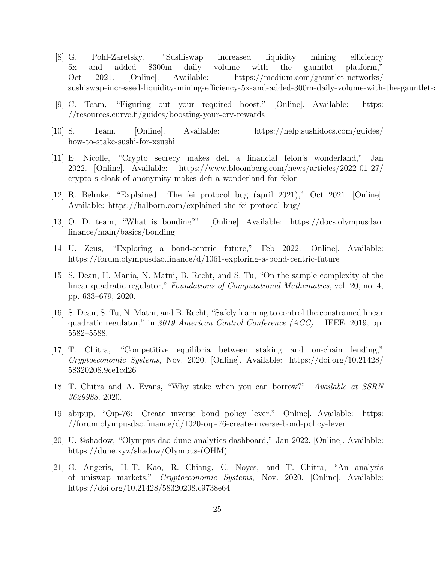- [8] G. Pohl-Zaretsky, "Sushiswap increased liquidity mining efficiency 5x and added \$300m daily volume with the gauntlet platform," Oct 2021. [Online]. Available: [https://medium.com/gauntlet-networks/](https://medium.com/gauntlet-networks/sushiswap-increased-liquidity-mining-efficiency-5x-and-added-300m-daily-volume-with-the-gauntlet-a9cc74dfb26e) sushiswap-increased-liquidity-mining-efficiency-5x-and-added-300m-daily-volume-with-the-gauntlet-a
- <span id="page-24-0"></span>[9] C. Team, "Figuring out your required boost." [Online]. Available: [https:](https://resources.curve.fi/guides/boosting-your-crv-rewards) [//resources.curve.fi/guides/boosting-your-crv-rewards](https://resources.curve.fi/guides/boosting-your-crv-rewards)
- <span id="page-24-1"></span>[10] S. Team. [Online]. Available: [https://help.sushidocs.com/guides/](https://help.sushidocs.com/guides/how-to-stake-sushi-for-xsushi) [how-to-stake-sushi-for-xsushi](https://help.sushidocs.com/guides/how-to-stake-sushi-for-xsushi)
- <span id="page-24-2"></span>[11] E. Nicolle, "Crypto secrecy makes defi a financial felon's wonderland," Jan 2022. [Online]. Available: [https://www.bloomberg.com/news/articles/2022-01-27/](https://www.bloomberg.com/news/articles/2022-01-27/crypto-s-cloak-of-anonymity-makes-defi-a-wonderland-for-felon) [crypto-s-cloak-of-anonymity-makes-defi-a-wonderland-for-felon](https://www.bloomberg.com/news/articles/2022-01-27/crypto-s-cloak-of-anonymity-makes-defi-a-wonderland-for-felon)
- <span id="page-24-3"></span>[12] R. Behnke, "Explained: The fei protocol bug (april 2021)," Oct 2021. [Online]. Available:<https://halborn.com/explained-the-fei-protocol-bug/>
- <span id="page-24-4"></span>[13] O. D. team, "What is bonding?" [Online]. Available: [https://docs.olympusdao.](https://docs.olympusdao.finance/main/basics/bonding) [finance/main/basics/bonding](https://docs.olympusdao.finance/main/basics/bonding)
- <span id="page-24-5"></span>[14] U. Zeus, "Exploring a bond-centric future," Feb 2022. [Online]. Available: <https://forum.olympusdao.finance/d/1061-exploring-a-bond-centric-future>
- <span id="page-24-6"></span>[15] S. Dean, H. Mania, N. Matni, B. Recht, and S. Tu, "On the sample complexity of the linear quadratic regulator," Foundations of Computational Mathematics, vol. 20, no. 4, pp. 633–679, 2020.
- <span id="page-24-7"></span>[16] S. Dean, S. Tu, N. Matni, and B. Recht, "Safely learning to control the constrained linear quadratic regulator," in 2019 American Control Conference  $(ACC)$ . IEEE, 2019, pp. 5582–5588.
- <span id="page-24-8"></span>[17] T. Chitra, "Competitive equilibria between staking and on-chain lending," Cryptoeconomic Systems, Nov. 2020. [Online]. Available: [https://doi.org/10.21428/](https://doi.org/10.21428/58320208.9ce1cd26) [58320208.9ce1cd26](https://doi.org/10.21428/58320208.9ce1cd26)
- <span id="page-24-9"></span>[18] T. Chitra and A. Evans, "Why stake when you can borrow?" Available at SSRN 3629988, 2020.
- <span id="page-24-10"></span>[19] abipup, "Oip-76: Create inverse bond policy lever." [Online]. Available: [https:](https://forum.olympusdao.finance/d/1020-oip-76-create-inverse-bond-policy-lever) [//forum.olympusdao.finance/d/1020-oip-76-create-inverse-bond-policy-lever](https://forum.olympusdao.finance/d/1020-oip-76-create-inverse-bond-policy-lever)
- <span id="page-24-12"></span>[20] U. @shadow, "Olympus dao dune analytics dashboard," Jan 2022. [Online]. Available: [https://dune.xyz/shadow/Olympus-\(OHM\)](https://dune.xyz/shadow/Olympus-(OHM))
- <span id="page-24-11"></span>[21] G. Angeris, H.-T. Kao, R. Chiang, C. Noyes, and T. Chitra, "An analysis of uniswap markets," Cryptoeconomic Systems, Nov. 2020. [Online]. Available: <https://doi.org/10.21428/58320208.c9738e64>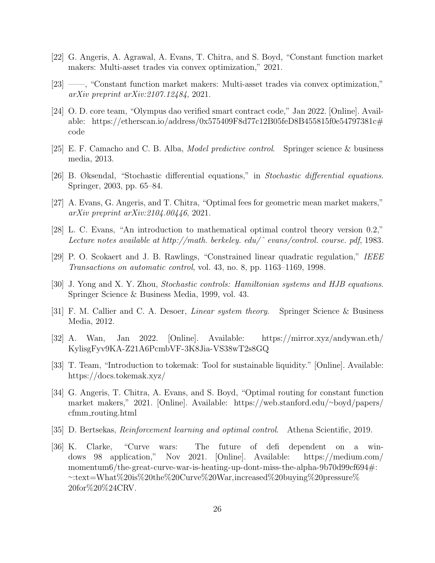- <span id="page-25-0"></span>[22] G. Angeris, A. Agrawal, A. Evans, T. Chitra, and S. Boyd, "Constant function market makers: Multi-asset trades via convex optimization," 2021.
- <span id="page-25-1"></span>[23] ——, "Constant function market makers: Multi-asset trades via convex optimization," arXiv preprint arXiv:2107.12484, 2021.
- <span id="page-25-2"></span>[24] O. D. core team, "Olympus dao verified smart contract code," Jan 2022. [Online]. Available: [https://etherscan.io/address/0x575409F8d77c12B05feD8B455815f0e54797381c#](https://etherscan.io/address/0x575409F8d77c12B05feD8B455815f0e54797381c#code) [code](https://etherscan.io/address/0x575409F8d77c12B05feD8B455815f0e54797381c#code)
- <span id="page-25-3"></span>[25] E. F. Camacho and C. B. Alba, Model predictive control. Springer science & business media, 2013.
- <span id="page-25-4"></span>[26] B. Øksendal, "Stochastic differential equations," in Stochastic differential equations. Springer, 2003, pp. 65–84.
- <span id="page-25-5"></span>[27] A. Evans, G. Angeris, and T. Chitra, "Optimal fees for geometric mean market makers," arXiv preprint arXiv:2104.00446, 2021.
- <span id="page-25-6"></span>[28] L. C. Evans, "An introduction to mathematical optimal control theory version 0.2," Lecture notes available at http://math. berkeley. edu/˜ evans/control. course. pdf, 1983.
- <span id="page-25-7"></span>[29] P. O. Scokaert and J. B. Rawlings, "Constrained linear quadratic regulation," IEEE Transactions on automatic control, vol. 43, no. 8, pp. 1163–1169, 1998.
- <span id="page-25-8"></span>[30] J. Yong and X. Y. Zhou, Stochastic controls: Hamiltonian systems and HJB equations. Springer Science & Business Media, 1999, vol. 43.
- <span id="page-25-9"></span>[31] F. M. Callier and C. A. Desoer, Linear system theory. Springer Science & Business Media, 2012.
- <span id="page-25-10"></span>[32] A. Wan, Jan 2022. [Online]. Available: [https://mirror.xyz/andywan.eth/](https://mirror.xyz/andywan.eth/KylisgFyv9KA-Z21A6PcmbVF-3K8Jia-VS38wT2s8GQ) [KylisgFyv9KA-Z21A6PcmbVF-3K8Jia-VS38wT2s8GQ](https://mirror.xyz/andywan.eth/KylisgFyv9KA-Z21A6PcmbVF-3K8Jia-VS38wT2s8GQ)
- <span id="page-25-11"></span>[33] T. Team, "Introduction to tokemak: Tool for sustainable liquidity." [Online]. Available: <https://docs.tokemak.xyz/>
- <span id="page-25-12"></span>[34] G. Angeris, T. Chitra, A. Evans, and S. Boyd, "Optimal routing for constant function market makers," 2021. [Online]. Available: [https://web.stanford.edu/](https://web.stanford.edu/~boyd/papers/cfmm_routing.html)∼boyd/papers/ cfmm [routing.html](https://web.stanford.edu/~boyd/papers/cfmm_routing.html)
- <span id="page-25-13"></span>[35] D. Bertsekas, Reinforcement learning and optimal control. Athena Scientific, 2019.
- <span id="page-25-14"></span>[36] K. Clarke, "Curve wars: The future of defi dependent on a windows 98 application," Nov 2021. [Online]. Available: [https://medium.com/](https://medium.com/momentum6/the-great-curve-war-is-heating-up-dont-miss-the-alpha-9b70d99cf694#:~:text=What%20is%20the%20Curve%20War,increased%20buying%20pressure%20for%20%24CRV.) [momentum6/the-great-curve-war-is-heating-up-dont-miss-the-alpha-9b70d99cf694#:](https://medium.com/momentum6/the-great-curve-war-is-heating-up-dont-miss-the-alpha-9b70d99cf694#:~:text=What%20is%20the%20Curve%20War,increased%20buying%20pressure%20for%20%24CRV.) <sup>∼</sup>[:text=What%20is%20the%20Curve%20War,increased%20buying%20pressure%](https://medium.com/momentum6/the-great-curve-war-is-heating-up-dont-miss-the-alpha-9b70d99cf694#:~:text=What%20is%20the%20Curve%20War,increased%20buying%20pressure%20for%20%24CRV.) [20for%20%24CRV.](https://medium.com/momentum6/the-great-curve-war-is-heating-up-dont-miss-the-alpha-9b70d99cf694#:~:text=What%20is%20the%20Curve%20War,increased%20buying%20pressure%20for%20%24CRV.)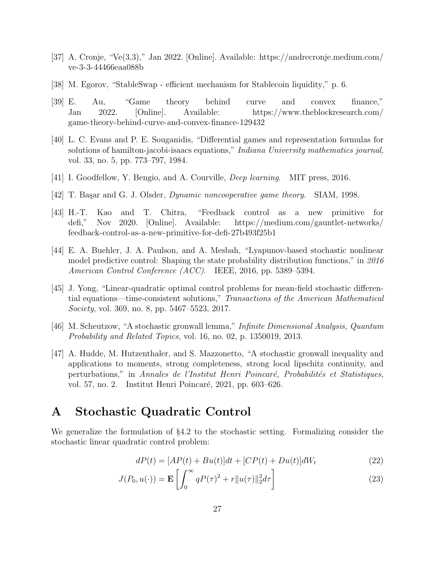- <span id="page-26-2"></span>[37] A. Cronje, "Ve(3,3)," Jan 2022. [Online]. Available: [https://andrecronje.medium.com/](https://andrecronje.medium.com/ve-3-3-44466eaa088b) [ve-3-3-44466eaa088b](https://andrecronje.medium.com/ve-3-3-44466eaa088b)
- <span id="page-26-3"></span>[38] M. Egorov, "StableSwap - efficient mechanism for Stablecoin liquidity," p. 6.
- <span id="page-26-4"></span>[39] E. Au, "Game theory behind curve and convex finance," Jan 2022. [Online]. Available: [https://www.theblockresearch.com/](https://www.theblockresearch.com/game-theory-behind-curve-and-convex-finance-129432) [game-theory-behind-curve-and-convex-finance-129432](https://www.theblockresearch.com/game-theory-behind-curve-and-convex-finance-129432)
- <span id="page-26-5"></span>[40] L. C. Evans and P. E. Souganidis, "Differential games and representation formulas for solutions of hamilton-jacobi-isaacs equations," *Indiana University mathematics journal*, vol. 33, no. 5, pp. 773–797, 1984.
- <span id="page-26-6"></span>[41] I. Goodfellow, Y. Bengio, and A. Courville, Deep learning. MIT press, 2016.
- <span id="page-26-7"></span>[42] T. Başar and G. J. Olsder, *Dynamic noncooperative game theory.* SIAM, 1998.
- <span id="page-26-8"></span>[43] H.-T. Kao and T. Chitra, "Feedback control as a new primitive for defi," Nov 2020. [Online]. Available: [https://medium.com/gauntlet-networks/](https://medium.com/gauntlet-networks/feedback-control-as-a-new-primitive-for-defi-27b493f25b1) [feedback-control-as-a-new-primitive-for-defi-27b493f25b1](https://medium.com/gauntlet-networks/feedback-control-as-a-new-primitive-for-defi-27b493f25b1)
- <span id="page-26-10"></span>[44] E. A. Buehler, J. A. Paulson, and A. Mesbah, "Lyapunov-based stochastic nonlinear model predictive control: Shaping the state probability distribution functions," in 2016 American Control Conference (ACC). IEEE, 2016, pp. 5389–5394.
- <span id="page-26-11"></span>[45] J. Yong, "Linear-quadratic optimal control problems for mean-field stochastic differential equations—time-consistent solutions," Transactions of the American Mathematical Society, vol. 369, no. 8, pp. 5467–5523, 2017.
- <span id="page-26-12"></span>[46] M. Scheutzow, "A stochastic gronwall lemma," Infinite Dimensional Analysis, Quantum Probability and Related Topics, vol. 16, no. 02, p. 1350019, 2013.
- <span id="page-26-13"></span>[47] A. Hudde, M. Hutzenthaler, and S. Mazzonetto, "A stochastic gronwall inequality and applications to moments, strong completeness, strong local lipschitz continuity, and perturbations," in Annales de l'Institut Henri Poincaré, Probabilités et Statistiques, vol. 57, no. 2. Institut Henri Poincaré, 2021, pp. 603–626.

### <span id="page-26-1"></span>A Stochastic Quadratic Control

We generalize the formulation of §[4.2](#page-17-0) to the stochastic setting. Formalizing consider the stochastic linear quadratic control problem:

<span id="page-26-9"></span><span id="page-26-0"></span>
$$
dP(t) = [AP(t) + Bu(t)]dt + [CP(t) + Du(t)]dW_t
$$
\n(22)

$$
J(P_0, u(\cdot)) = \mathbf{E}\left[\int_0^\infty qP(\tau)^2 + r\|u(\tau)\|_2^2 d\tau\right]
$$
\n(23)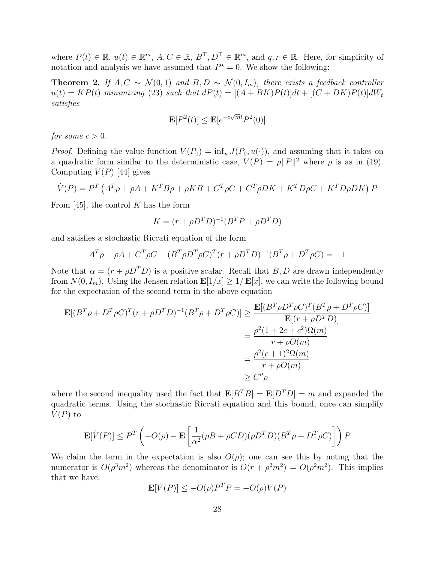where  $P(t) \in \mathbb{R}$ ,  $u(t) \in \mathbb{R}^m$ ,  $A, C \in \mathbb{R}$ ,  $B^{\top}, D^{\top} \in \mathbb{R}^m$ , and  $q, r \in \mathbb{R}$ . Here, for simplicity of notation and analysis we have assumed that  $P^* = 0$ . We show the following:

<span id="page-27-0"></span>**Theorem 2.** If  $A, C \sim \mathcal{N}(0, 1)$  and  $B, D \sim \mathcal{N}(0, I_m)$ , there exists a feedback controller  $u(t) = KP(t)$  minimizing [\(23\)](#page-26-9) such that  $dP(t) = [(A+BK)P(t)]dt + [(C+DK)P(t)]dW_t$ satisfies

$$
\mathbf{E}[P^2(t)] \le \mathbf{E}[e^{-c\sqrt{m}t}P^2(0)]
$$

for some  $c > 0$ .

*Proof.* Defining the value function  $V(P_0) = \inf_u J(P_0, u(\cdot))$ , and assuming that it takes on a quadratic form similar to the deterministic case,  $V(P) = \rho ||P||^2$  where  $\rho$  is as in [\(19\)](#page-18-2). Computing  $\dot{V}(P)$  [\[44\]](#page-26-10) gives

$$
\dot{V}(P) = P^T \left( A^T \rho + \rho A + K^T B \rho + \rho K B + C^T \rho C + C^T \rho D K + K^T D \rho C + K^T D \rho D K \right) P
$$

From [\[45\]](#page-26-11), the control K has the form

$$
K = (r + \rho D^T D)^{-1} (B^T P + \rho D^T D)
$$

and satisfies a stochastic Riccati equation of the form

$$
A^T \rho + \rho A + C^T \rho C - (B^T \rho D^T \rho C)^T (r + \rho D^T D)^{-1} (B^T \rho + D^T \rho C) = -1
$$

Note that  $\alpha = (r + \rho D^T D)$  is a positive scalar. Recall that B, D are drawn independently from  $N(0, I_m)$ . Using the Jensen relation  $\mathbf{E}[1/x] \geq 1/\mathbf{E}[x]$ , we can write the following bound for the expectation of the second term in the above equation

$$
\mathbf{E}[(B^T \rho + D^T \rho C)^T (r + \rho D^T D)^{-1} (B^T \rho + D^T \rho C)] \ge \frac{\mathbf{E}[(B^T \rho D^T \rho C)^T (B^T \rho + D^T \rho C)]}{\mathbf{E}[(r + \rho D^T D)]}
$$
  
=  $\frac{\rho^2 (1 + 2c + c^2) \Omega(m)}{r + \rho O(m)}$   
=  $\frac{\rho^2 (c + 1)^2 \Omega(m)}{r + \rho O(m)}$   
 $\ge C'' \rho$ 

where the second inequality used the fact that  $\mathbf{E}[B^T B] = \mathbf{E}[D^T D] = m$  and expanded the quadratic terms. Using the stochastic Riccati equation and this bound, once can simplify  $V(P)$  to

$$
\mathbf{E}[\dot{V}(P)] \le P^T \left( -O(\rho) - \mathbf{E} \left[ \frac{1}{\alpha^2} (\rho B + \rho CD)(\rho D^T D)(B^T \rho + D^T \rho C) \right] \right) P
$$

We claim the term in the expectation is also  $O(\rho)$ ; one can see this by noting that the numerator is  $O(\rho^3 m^2)$  whereas the denominator is  $O(r + \rho^2 m^2) = O(\rho^2 m^2)$ . This implies that we have:

$$
\mathbf{E}[\dot{V}(P)] \le -O(\rho)P^T P = -O(\rho)V(P)
$$